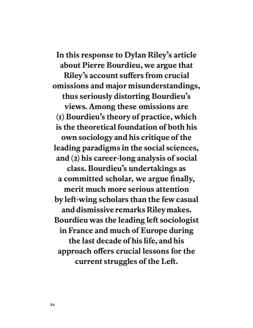**In this response to Dylan Riley's article about Pierre Bourdieu, we argue that Riley's account sufers from crucial omissions and major misunderstandings, thus seriously distorting Bourdieu's views. Among these omissions are (1) Bourdieu's theory of practice, which is the theoretical foundation of both his own sociology and his critique of the leading paradigms in the social sciences, and (2) his career-long analysis of social class. Bourdieu's undertakings as a committed scholar, we argue finally, merit much more serious attention by lef-wing scholars than the few casual and dismissive remarks Riley makes. Bourdieu was the leading lef sociologist in France and much of Europe during the last decade of his life, and his approach ofers crucial lessons for the current struggles of the Lef.**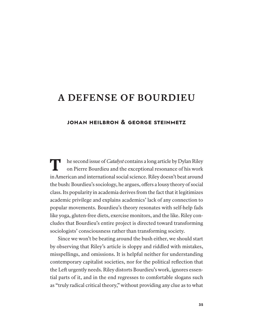# **A DEFENSE OF BOURDIEU**

# **JOHAN HEILBRON & GEORGE STEINMETZ**

**T he second issue of** *Catalyst* **contains a long article by Dylan Riley** on Pierre Bourdieu and the exceptional resonance of his work on Pierre Bourdieu and the exceptional resonance of his work in American and international social science. Riley doesn't beat around the bush: Bourdieu's sociology, he argues, ofers a lousy theory of social class. Its popularity in academia derives from the fact that it legitimizes academic privilege and explains academics' lack of any connection to popular movements. Bourdieu's theory resonates with self-help fads like yoga, gluten-free diets, exercise monitors, and the like. Riley concludes that Bourdieu's entire project is directed toward transforming sociologists' consciousness rather than transforming society.

Since we won't be beating around the bush either, we should start by observing that Riley's article is sloppy and riddled with mistakes, misspellings, and omissions. It is helpful neither for understanding contemporary capitalist societies, nor for the political reflection that the Left urgently needs. Riley distorts Bourdieu's work, ignores essential parts of it, and in the end regresses to comfortable slogans such as "truly radical critical theory," without providing any clue as to what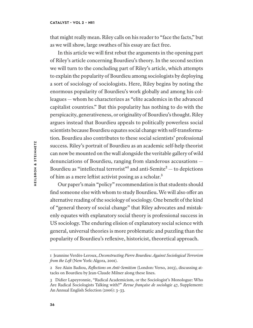### **CATALYST • VOL 2 • №1**

that might really mean. Riley calls on his reader to "face the facts," but as we will show, large swathes of his essay are fact free.

In this article we will first rebut the arguments in the opening part of Riley's article concerning Bourdieu's theory. In the second section we will turn to the concluding part of Riley's article, which attempts to explain the popularity of Bourdieu among sociologists by deploying a sort of sociology of sociologists. Here, Riley begins by noting the enormous popularity of Bourdieu's work globally and among his colleagues — whom he characterizes as "elite academics in the advanced capitalist countries." But this popularity has nothing to do with the perspicacity, generativeness, or originality of Bourdieu's thought. Riley argues instead that Bourdieu appeals to politically powerless social scientists because Bourdieu equates social change with self-transformation. Bourdieu also contributes to these social scientists' professional success. Riley's portrait of Bourdieu as an academic self-help theorist can now be mounted on the wall alongside the veritable gallery of wild denunciations of Bourdieu, ranging from slanderous accusations — Bourdieu as "intellectual terrorist" and anti-Semite<sup>2</sup> — to depictions of him as a mere leftist activist posing as a scholar.<sup>3</sup>

Our paper's main "policy" recommendation is that students should find someone else with whom to study Bourdieu. We will also ofer an alternative reading of the sociology of sociology. One benefit of the kind of "general theory of social change" that Riley advocates and mistakenly equates with explanatory social theory is professional success in US sociology. The enduring elision of explanatory social science with general, universal theories is more problematic and puzzling than the popularity of Bourdieu's reflexive, historicist, theoretical approach.

<sup>1</sup> Jeannine Verdès-Leroux, *Deconstructing Pierre Bourdieu: Against Sociological Terrorism from the Left* (New York: Algora, 2001).

<sup>2</sup> See Alain Badiou, *Reflections on Anti-Semitism* (London: Verso, 2013), discussing attacks on Bourdieu by Jean-Claude Milner along these lines.

<sup>3</sup> Didier Lapeyronnie, "Radical Academicism, or the Sociologist's Monologue: Who Are Radical Sociologists Talking with?" *Revue française de sociologie* 47, Supplement: An Annual English Selection (2006): 3–33.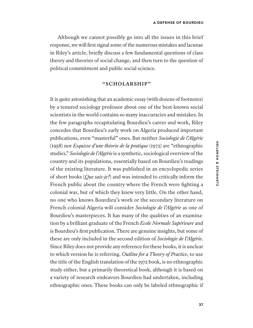Although we cannot possibly go into all the issues in this brief response, we will first signal some of the numerous mistakes and lacunae in Riley's article, briefly discuss a few fundamental questions of class theory and theories of social change, and then turn to the question of political commitment and public social science.

### **"SCHOLARSHIP"**

It is quite astonishing that an academic essay (with dozens of footnotes) by a tenured sociology professor about one of the best-known social scientists in the world contains so many inaccuracies and mistakes. In the few paragraphs recapitulating Bourdieu's career and work, Riley concedes that Bourdieu's early work on Algeria produced important publications, even "masterful" ones. But neither *Sociologie de l'Algérie* (1958) nor *Esquisse d'une théorie de la pratique* (1972) are "ethnographic studies." *Sociologie de l'Algérie* is a synthetic, sociological overview of the country and its populations, essentially based on Bourdieu's readings of the existing literature. It was published in an encyclopedic series of short books (*Que sais-je?*) and was intended to critically inform the French public about the country where the French were fighting a colonial war, but of which they knew very little. On the other hand, no one who knows Bourdieu's work or the secondary literature on French colonial Algeria will consider *Sociologie de l'Algérie* as one of Bourdieu's masterpieces. It has many of the qualities of an examination by a brilliant graduate of the French *Ecole Normale Supérieure* and is Bourdieu's first publication. There are genuine insights, but some of these are only included in the second edition of *Sociologie de l'Algérie*. Since Riley does not provide any reference for these books, it is unclear to which version he is referring. *Outline for a Theory of Practice*, to use the title of the English translation of the 1972 book, is no ethnographic study either, but a primarily theoretical book, although it is based on a variety of research endeavors Bourdieu had undertaken, including ethnographic ones. These books can only be labeled ethnographic if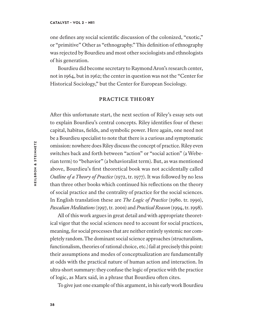one defines any social scientific discussion of the colonized, "exotic," or "primitive" Other as "ethnography." This definition of ethnography was rejected by Bourdieu and most other sociologists and ethnologists of his generation.

Bourdieu did become secretary to Raymond Aron's research center, not in 1964, but in 1962; the center in question was not the "Center for Historical Sociology," but the Center for European Sociology.

### **PRACTICE THEORY**

Afer this unfortunate start, the next section of Riley's essay sets out to explain Bourdieu's central concepts. Riley identifies four of these: capital, habitus, fields, and symbolic power. Here again, one need not be a Bourdieu specialist to note that there is a curious and symptomatic omission: nowhere does Riley discuss the concept of practice. Riley even switches back and forth between "action" or "social action" (a Weberian term) to "behavior" (a behavioralist term). But, as was mentioned above, Bourdieu's first theoretical book was not accidentally called *Outline of a Theory of Practice* (1972, tr. 1977). It was followed by no less than three other books which continued his reflections on the theory of social practice and the centrality of practice for the social sciences. In English translation these are *The Logic of Practice* (1980. tr. 1990), *Pascalian Meditations* (1997, tr. 2000) and *Practical Reason* (1994, tr. 1998).

All of this work argues in great detail and with appropriate theoretical vigor that the social sciences need to account for social practices, meaning, for social processes that are neither entirely systemic nor completely random. The dominant social science approaches (structuralism, functionalism, theories of rational choice, etc.) fail at precisely this point: their assumptions and modes of conceptualization are fundamentally at odds with the practical nature of human action and interaction. In ultra-short summary: they confuse the logic of practice with the practice of logic, as Marx said, in a phrase that Bourdieu ofen cites.

To give just one example of this argument, in his early work Bourdieu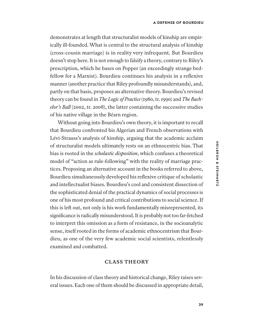demonstrates at length that structuralist models of kinship are empirically ill-founded. What is central to the structural analysis of kinship (cross-cousin marriage) is in reality very infrequent. But Bourdieu doesn't stop here. It is not enough to falsify a theory, contrary to Riley's prescription, which he bases on Popper (an exceedingly strange bedfellow for a Marxist). Bourdieu continues his analysis in a reflexive manner (another practice that Riley profoundly misunderstands), and, partly on that basis, proposes an alternative theory. Bourdieu's revised theory can be found in *The Logic of Practice* (1980, tr. 1990) and *The Bachelor's Ball* (2002, tr. 2008), the latter containing the successive studies of his native village in the Béarn region.

Without going into Bourdieu's own theory, it is important to recall that Bourdieu confronted his Algerian and French observations with Lévi-Strauss's analysis of kinship, arguing that the academic acclaim of structuralist models ultimately rests on an ethnocentric bias. That bias is rooted in the *scholastic disposition*, which confuses a theoretical model of "action as rule-following" with the reality of marriage practices. Proposing an alternative account in the books referred to above, Bourdieu simultaneously developed his reflexive critique of scholastic and intellectualist biases. Bourdieu's cool and consistent dissection of the sophisticated denial of the practical dynamics of social processes is one of his most profound and critical contributions to social science. If this is left out, not only is his work fundamentally misrepresented, its significance is radically misunderstood. It is probably not too far-fetched to interpret this omission as a form of resistance, in the socioanalytic sense, itself rooted in the forms of academic ethnocentrism that Bourdieu, as one of the very few academic social scientists, relentlessly examined and combatted.

# **CLASS THEORY**

In his discussion of class theory and historical change, Riley raises several issues. Each one of them should be discussed in appropriate detail,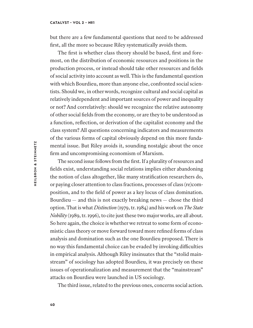but there are a few fundamental questions that need to be addressed first, all the more so because Riley systematically avoids them.

The first is whether class theory should be based, first and foremost, on the distribution of economic resources and positions in the production process, or instead should take other resources and fields of social activity into account as well. This is the fundamental question with which Bourdieu, more than anyone else, confronted social scientists. Should we, in other words, recognize cultural and social capital as relatively independent and important sources of power and inequality or not? And correlatively: should we recognize the relative autonomy of other social fields from the economy, or are they to be understood as a function, reflection, or derivation of the capitalist economy and the class system? All questions concerning indicators and measurements of the various forms of capital obviously depend on this more fundamental issue. But Riley avoids it, sounding nostalgic about the once firm and uncompromising economism of Marxism.

The second issue follows from the first. If a plurality of resources and fields exist, understanding social relations implies either abandoning the notion of class altogether, like many stratification researchers do, or paying closer attention to class fractions, processes of class (re)composition, and to the field of power as a key locus of class domination. Bourdieu  $-$  and this is not exactly breaking news  $-$  chose the third option. That is what *Distinction* (1979, tr. 1984) and his work on *The State Nobility* (1989, tr. 1996), to cite just these two major works, are all about. So here again, the choice is whether we retreat to some form of economistic class theory or move forward toward more refined forms of class analysis and domination such as the one Bourdieu proposed. There is no way this fundamental choice can be evaded by invoking difculties in empirical analysis. Although Riley insinuates that the "stolid mainstream" of sociology has adopted Bourdieu, it was precisely on these issues of operationalization and measurement that the "mainstream" attacks on Bourdieu were launched in US sociology.

The third issue, related to the previous ones, concerns social action.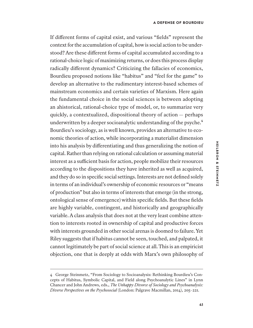If diferent forms of capital exist, and various "fields" represent the context for the accumulation of capital, how is social action to be understood? Are these diferent forms of capital accumulated according to a rational-choice logic of maximizing returns, or does this process display radically diferent dynamics? Criticizing the fallacies of economics, Bourdieu proposed notions like "habitus" and "feel for the game" to develop an alternative to the rudimentary interest-based schemes of mainstream economics and certain varieties of Marxism. Here again the fundamental choice in the social sciences is between adopting an ahistorical, rational-choice type of model, or, to summarize very quickly, a contextualized, dispositional theory of action — perhaps underwritten by a deeper socioanalytic understanding of the psyche.<sup>4</sup> Bourdieu's sociology, as is well known, provides an alternative to economic theories of action, while incorporating a materialist dimension into his analysis by diferentiating and thus generalizing the notion of capital. Rather than relying on rational calculation or assuming material interest as a sufficient basis for action, people mobilize their resources according to the dispositions they have inherited as well as acquired, and they do so in specific social settings. Interests are not defined solely in terms of an individual's ownership of economic resources or "means of production" but also in terms of interests that emerge (in the strong, ontological sense of emergence) within specific fields. But these fields are highly variable, contingent, and historically and geographically variable. A class analysis that does not at the very least combine attention to interests rooted in ownership of capital and productive forces with interests grounded in other social arenas is doomed to failure. Yet Riley suggests that if habitus cannot be seen, touched, and palpated, it cannot legitimately be part of social science at all. This is an empiricist objection, one that is deeply at odds with Marx's own philosophy of

<sup>4</sup> George Steinmetz, "From Sociology to Socioanalysis: Rethinking Bourdieu's Concepts of Habitus, Symbolic Capital, and Field along Psychoanalytic Lines" in Lynn Chancer and John Andrews, eds., *The Unhappy Divorce of Sociology and Psychoanalysis: Diverse Perspectives on the Psychosocial* (London: Palgrave Macmillan, 2014), 205–221.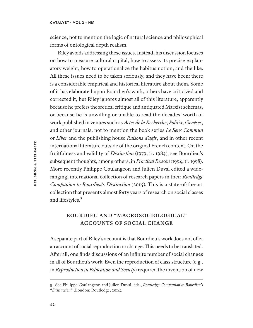### **CATALYST • VOL 2 • №1**

science, not to mention the logic of natural science and philosophical forms of ontological depth realism.

Riley avoids addressing these issues. Instead, his discussion focuses on how to measure cultural capital, how to assess its precise explanatory weight, how to operationalize the habitus notion, and the like. All these issues need to be taken seriously, and they have been: there is a considerable empirical and historical literature about them. Some of it has elaborated upon Bourdieu's work, others have criticized and corrected it, but Riley ignores almost all of this literature, apparently because he prefers theoretical critique and antiquated Marxist schemas, or because he is unwilling or unable to read the decades' worth of work published in venues such as *Actes de la Recherche*, *Politix, Genèses*, and other journals, not to mention the book series *Le Sens Commun* or *Liber* and the publishing house *Raisons d'agir*, and in other recent international literature outside of the original French context. On the fruitfulness and validity of *Distinction* (1979, tr. 1984), see Bourdieu's subsequent thoughts, among others, in *Practical Reason* (1994, tr. 1998). More recently Philippe Coulangeon and Julien Duval edited a wideranging, international collection of research papers in their *Routledge Companion to Bourdieu's Distinction* (2014). This is a state-of-the-art collection that presents almost forty years of research on social classes and lifestyles.<sup>5</sup>

# **BOURDIEU AND "MACROSOCIOLOGICAL" ACCOUNTS OF SOCIAL CHANGE**

A separate part of Riley's account is that Bourdieu's work does not ofer an account of social reproduction or change. This needs to be translated. Afer all, one finds discussions of an infinite number of social changes in all of Bourdieu's work. Even the reproduction of class structure (e.g., in *Reproduction in Education and Society*) required the invention of new

<sup>5</sup> See Philippe Coulangeon and Julien Duval, eds., *Routledge Companion to Bourdieu's* "*Distinction*" (London: Routledge, 2014).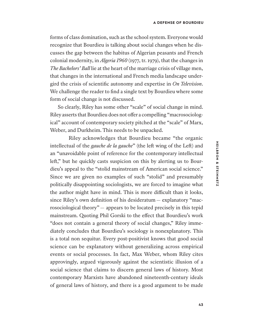forms of class domination, such as the school system. Everyone would recognize that Bourdieu is talking about social changes when he discusses the gap between the habitus of Algerian peasants and French colonial modernity, in *Algeria 1960* (1977, tr. 1979), that the changes in *The Bachelors' Ball* lie at the heart of the marriage crisis of village men, that changes in the international and French media landscape undergird the crisis of scientific autonomy and expertise in *On Television*. We challenge the reader to find a single text by Bourdieu where some form of social change is not discussed.

So clearly, Riley has some other "scale" of social change in mind. Riley asserts that Bourdieu does not offer a compelling "macrosociological" account of contemporary society pitched at the "scale" of Marx, Weber, and Durkheim. This needs to be unpacked.

Riley acknowledges that Bourdieu became "the organic intellectual of the *gauche de la gauche*" (the left wing of the Left) and an "unavoidable point of reference for the contemporary intellectual left," but he quickly casts suspicion on this by alerting us to Bourdieu's appeal to the "stolid mainstream of American social science." Since we are given no examples of such "stolid" and presumably politically disappointing sociologists, we are forced to imagine what the author might have in mind. This is more difficult than it looks, since Riley's own definition of his desideratum— explanatory "macrosociological theory"— appears to be located precisely in this tepid mainstream. Quoting Phil Gorski to the efect that Bourdieu's work "does not contain a general theory of social changes," Riley immediately concludes that Bourdieu's sociology is nonexplanatory. This is a total non sequitur. Every post-positivist knows that good social science can be explanatory without generalizing across empirical events or social processes. In fact, Max Weber, whom Riley cites approvingly, argued vigorously against the scientistic illusion of a social science that claims to discern general laws of history. Most contemporary Marxists have abandoned nineteenth-century ideals of general laws of history, and there is a good argument to be made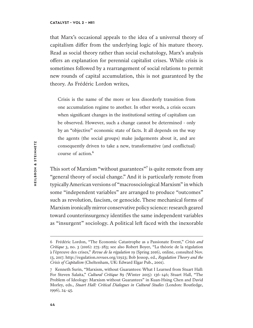### **CATALYST • VOL 2 • №1**

that Marx's occasional appeals to the idea of a universal theory of capitalism difer from the underlying logic of his mature theory. Read as social theory rather than social eschatology, Marx's analysis ofers an explanation for perennial capitalist crises. While crisis is sometimes followed by a rearrangement of social relations to permit new rounds of capital accumulation, this is not guaranteed by the theory. As Frédéric Lordon writes,

Crisis is the name of the more or less disorderly transition from one accumulation regime to another. In other words, a crisis occurs when significant changes in the institutional setting of capitalism can be observed. However, such a change cannot be determined - only by an "objective" economic state of facts. It all depends on the way the agents (the social groups) make judgements about it, and are consequently driven to take a new, transformative (and conflictual) course of action.<sup>6</sup>

This sort of Marxism "without guarantees"<sup>7</sup> is quite remote from any "general theory of social change." And it is particularly remote from typically American versions of "macrosociological Marxism" in which some "independent variables" are arranged to produce "outcomes" such as revolution, fascism, or genocide. These mechanical forms of Marxism ironically mirror conservative policy science: research geared toward counterinsurgency identifies the same independent variables as "insurgent" sociology. A political left faced with the inexorable

<sup>6</sup> Frédéric Lordon, "The Economic Catastrophe as a Passionate Event," *Crisis and Critique* 3, no. 3 (2016): 275–283; see also Robert Boyer, "La théorie de la régulation à l'épreuve des crises," *Revue de la régulation* 19 (Spring 2016), online, consulted Nov. 13, 2017. http://regulation.revues.org/11923; Bob Jessop, ed., *Regulation Theory and the Crisis of Capitalism* (Cheltenham, UK: Edward Elgar Pub., 2001).

<sup>7</sup> Kenneth Surin, "Marxism, without Guarantees: What I Learned from Stuart Hall: For Steven Salaita," *Cultural Critique* 89 (Winter 2015): 136–146; Stuart Hall, "The Problem of Ideology: Marxism without Guarantees" in Kuan-Hsing Chen and David Morley, eds., *Stuart Hall: Critical Dialogues in Cultural Studies* (London: Routledge, 1996), 24–45.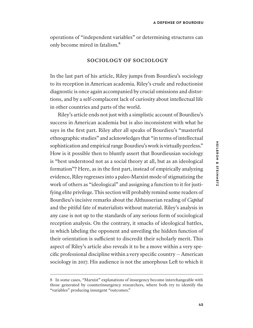operations of "independent variables" or determining structures can only become mired in fatalism.<sup>8</sup>

### **SOCIOLOGY OF SOCIOLOGY**

In the last part of his article, Riley jumps from Bourdieu's sociology to its reception in American academia. Riley's crude and reductionist diagnostic is once again accompanied by crucial omissions and distortions, and by a self-complacent lack of curiosity about intellectual life in other countries and parts of the world.

Riley's article ends not just with a simplistic account of Bourdieu's success in American academia but is also inconsistent with what he says in the first part. Riley afer all speaks of Bourdieu's "masterful ethnographic studies" and acknowledges that "in terms of intellectual sophistication and empirical range Bourdieu's work is virtually peerless." How is it possible then to bluntly assert that Bourdieusian sociology is "best understood not as a social theory at all, but as an ideological formation"? Here, as in the first part, instead of empirically analyzing evidence, Riley regresses into a paleo-Marxist mode of stigmatizing the work of others as "ideological" and assigning a function to it for justifying elite privilege. This section will probably remind some readers of Bourdieu's incisive remarks about the Althusserian reading of *Capital* and the pitiful fate of materialists without material. Riley's analysis in any case is not up to the standards of any serious form of sociological reception analysis. On the contrary, it smacks of ideological battles, in which labeling the opponent and unveiling the hidden function of their orientation is sufficient to discredit their scholarly merit. This aspect of Riley's article also reveals it to be a move within a very specific professional discipline within a very specific country— American sociology in 2017. His audience is not the amorphous Left to which it

<sup>8</sup> In some cases, "Marxist" explanations of insurgency become interchangeable with those generated by counterinsurgency researchers, where both try to identify the "variables" producing insurgent "outcomes."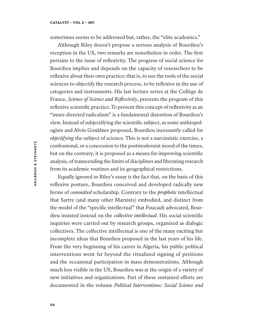### **CATALYST • VOL 2 • №1**

sometimes seems to be addressed but, rather, the "elite academics."

Although Riley doesn't propose a serious analysis of Bourdieu's reception in the US, two remarks are nonetheless in order. The first pertains to the issue of reflexivity. The progress of social science for Bourdieu implies and depends on the capacity of researchers to be reflexive about their own practice; that is, to use the tools of the social sciences to objectify the research process, to be reflexive in the use of categories and instruments. His last lecture series at the Collège de France, *Science of Science and Reflexivity*, presents the program of this reflexive scientific practice. To present this concept of reflexivity as an "inner-directed radicalism" is a fundamental distortion of Bourdieu's view. Instead of subjectifying the scientific subject, as some anthropologists and Alvin Gouldner proposed, Bourdieu incessantly called for *objectifying* the subject of science. This is not a narcissistic exercise, a confessional, or a concession to the postmodernist mood of the times, but on the contrary, it is proposed as a means for improving scientific analysis, of transcending the limits of disciplines and liberating research from its academic routines and its geographical restrictions.

Equally ignored in Riley's essay is the fact that, on the basis of this reflexive posture, Bourdieu conceived and developed radically new forms of *committed* scholarship. Contrary to the *prophetic* intellectual that Sartre (and many other Marxists) embodied, and distinct from the model of the "specific intellectual" that Foucault advocated, Bourdieu insisted instead on the *collective intellectual*. His social scientific inquiries were carried out by research groups, organized as dialogic collectives. The collective intellectual is one of the many exciting but incomplete ideas that Bourdieu proposed in the last years of his life. From the very beginning of his career in Algeria, his public political interventions went far beyond the ritualized signing of petitions and the occasional participation in mass demonstrations. Although much less visible in the US, Bourdieu was at the origin of a variety of new initiatives and organizations. Part of these sustained eforts are documented in the volume *Political Interventions: Social Science and*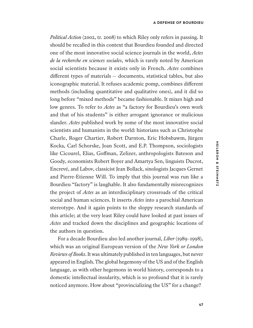*Political Action* (2002, tr. 2008) to which Riley only refers in passing. It should be recalled in this context that Bourdieu founded and directed one of the most innovative social science journals in the world, *Actes de la recherche en sciences sociales*, which is rarely noted by American social scientists because it exists only in French. *Actes* combines diferent types of materials — documents, statistical tables, but also iconographic material. It refuses academic pomp, combines diferent methods (including quantitative and qualitative ones), and it did so long before "mixed methods" became fashionable. It mixes high and low genres. To refer to *Actes* as "a factory for Bourdieu's own work and that of his students" is either arrogant ignorance or malicious slander. *Actes* published work by some of the most innovative social scientists and humanists in the world: historians such as Christophe Charle, Roger Chartier, Robert Darnton, Eric Hobsbawm, Jūrgen Kocka, Carl Schorske, Joan Scott, and E.P. Thompson, sociologists like Cicourel, Elias, Gofman, Zelizer, anthropologists Bateson and Goody, economists Robert Boyer and Amartya Sen, linguists Ducrot, Encrevé, and Labov, classicist Jean Bollack, sinologists Jacques Gernet and Pierre-Etienne Will. To imply that this journal was run like a Bourdieu "factory" is laughable. It also fundamentally misrecognizes the project of *Actes* as an interdisciplinary crossroads of the critical social and human sciences. It inserts *Actes* into a parochial American stereotype. And it again points to the sloppy research standards of this article; at the very least Riley could have looked at past issues of *Actes* and tracked down the disciplines and geographic locations of the authors in question.

For a decade Bourdieu also led another journal, *Liber* (1989–1998), which was an original European version of the *New York or London Reviews of Books*. It was ultimately published in ten languages, but never appeared in English. The global hegemony of the US and of the English language, as with other hegemons in world history, corresponds to a domestic intellectual insularity, which is so profound that it is rarely noticed anymore. How about "provincializing the US" for a change?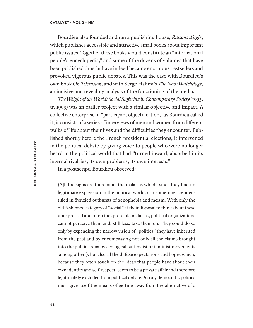Bourdieu also founded and ran a publishing house, *Raisons d'agir*, which publishes accessible and attractive small books about important public issues. Together these books would constitute an "international people's encyclopedia," and some of the dozens of volumes that have been published thus far have indeed became enormous bestsellers and provoked vigorous public debates. This was the case with Bourdieu's own book *On Television*, and with Serge Halimi's *The New Watchdogs*, an incisive and revealing analysis of the functioning of the media.

*The Weight of the World: Social Sufering in Contemporary Society* (1993, tr. 1999) was an earlier project with a similar objective and impact. A collective enterprise in "participant objectification," as Bourdieu called it, it consists of a series of interviews of men and women from diferent walks of life about their lives and the difficulties they encounter. Published shortly before the French presidential elections, it intervened in the political debate by giving voice to people who were no longer heard in the political world that had "turned inward, absorbed in its internal rivalries, its own problems, its own interests."

In a postscript, Bourdieu observed:

[A]ll the signs are there of all the malaises which, since they find no legitimate expression in the political world, can sometimes be identified in frenzied outbursts of xenophobia and racism. With only the old-fashioned category of "social" at their disposal to think about these unexpressed and ofen inexpressible malaises, political organizations cannot perceive them and, still less, take them on. They could do so only by expanding the narrow vision of "politics" they have inherited from the past and by encompassing not only all the claims brought into the public arena by ecological, antiracist or feminist movements (among others), but also all the difuse expectations and hopes which, because they often touch on the ideas that people have about their own identity and self-respect, seem to be a private afair and therefore legitimately excluded from political debate. A truly democratic politics must give itself the means of getting away from the alternative of a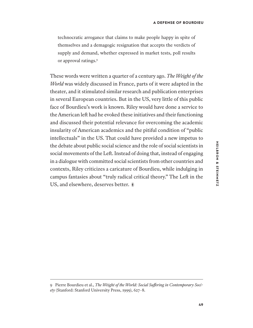technocratic arrogance that claims to make people happy in spite of themselves and a demagogic resignation that accepts the verdicts of supply and demand, whether expressed in market tests, poll results or approval ratings.<sup>9</sup>

These words were written a quarter of a century ago. *The Weight of the World* was widely discussed in France, parts of it were adapted in the theater, and it stimulated similar research and publication enterprises in several European countries. But in the US, very little of this public face of Bourdieu's work is known. Riley would have done a service to the American left had he evoked these initiatives and their functioning and discussed their potential relevance for overcoming the academic insularity of American academics and the pitiful condition of "public intellectuals" in the US. That could have provided a new impetus to the debate about public social science and the role of social scientists in social movements of the Lef. Instead of doing that, instead of engaging in a dialogue with committed social scientists from other countries and contexts, Riley criticizes a caricature of Bourdieu, while indulging in campus fantasies about "truly radical critical theory." The Lef in the US, and elsewhere, deserves better.  $\ast$ 

<sup>9</sup> Pierre Bourdieu et al., *The Weight of the World: Social Sufering in Contemporary Society* (Stanford: Stanford University Press, 1999), 627–8.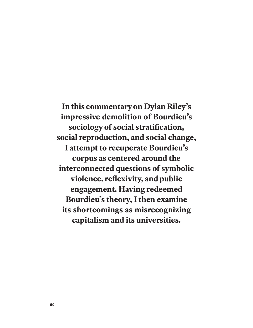**In this commentary on Dylan Riley's impressive demolition of Bourdieu's sociology of social stratification, social reproduction, and social change, I attempt to recuperate Bourdieu's corpus as centered around the interconnected questions of symbolic violence, reflexivity, and public engagement. Having redeemed Bourdieu's theory, I then examine its shortcomings as misrecognizing capitalism and its universities.**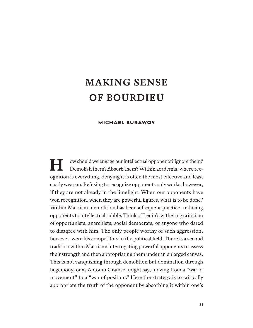# **MAKING SENSE OF BOURDIEU**

# **MICHAEL BURAWOY**

**H**  ow should we engage our intellectual opponents? Ignore them? Demolish them? Absorb them? Within academia, where recognition is everything, denying it is ofen the most efective and least costly weapon. Refusing to recognize opponents only works, however, if they are not already in the limelight. When our opponents have won recognition, when they are powerful figures, what is to be done? Within Marxism, demolition has been a frequent practice, reducing opponents to intellectual rubble. Think of Lenin's withering criticism of opportunists, anarchists, social democrats, or anyone who dared to disagree with him. The only people worthy of such aggression, however, were his competitors in the political field. There is a second tradition within Marxism: interrogating powerful opponents to assess their strength and then appropriating them under an enlarged canvas. This is not vanquishing through demolition but domination through hegemony, or as Antonio Gramsci might say, moving from a "war of movement" to a "war of position." Here the strategy is to critically appropriate the truth of the opponent by absorbing it within one's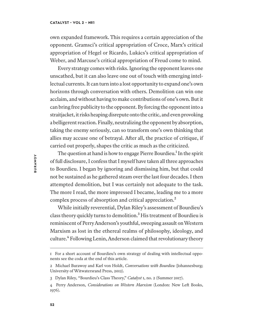own expanded framework. This requires a certain appreciation of the opponent. Gramsci's critical appropriation of Croce, Marx's critical appropriation of Hegel or Ricardo, Lukács's critical appropriation of Weber, and Marcuse's critical appropriation of Freud come to mind.

Every strategy comes with risks. Ignoring the opponent leaves one unscathed, but it can also leave one out of touch with emerging intellectual currents. It can turn into a lost opportunity to expand one's own horizons through conversation with others. Demolition can win one acclaim, and without having to make contributions of one's own. But it can bring free publicity to the opponent. By forcing the opponent into a straitjacket, it risks heaping disrepute onto the critic, and even provoking a belligerent reaction. Finally, neutralizing the opponent by absorption, taking the enemy seriously, can so transform one's own thinking that allies may accuse one of betrayal. Afer all, the practice of critique, if carried out properly, shapes the critic as much as the criticized.

The question at hand is how to engage Pierre Bourdieu.<sup>1</sup> In the spirit of full disclosure, I confess that I myself have taken all three approaches to Bourdieu. I began by ignoring and dismissing him, but that could not be sustained as he gathered steam over the last four decades. I then attempted demolition, but I was certainly not adequate to the task. The more I read, the more impressed I became, leading me to a more complex process of absorption and critical appreciation.²

While initially reverential, Dylan Riley's assessment of Bourdieu's class theory quickly turns to demolition.<sup>3</sup> His treatment of Bourdieu is reminiscent of Perry Anderson's youthful, sweeping assault on Western Marxism as lost in the ethereal realms of philosophy, ideology, and culture.<sup>4</sup> Following Lenin, Anderson claimed that revolutionary theory

<sup>1</sup> For a short account of Bourdieu's own strategy of dealing with intellectual opponents see the coda at the end of this article.

<sup>2</sup> Michael Burawoy and Karl von Holdt, *Conversations with Bourdieu* (Johannesburg; University of Witwatersrand Press, 2012).

<sup>3</sup> Dylan Riley, "Bourdieu's Class Theory," *Catalyst* 1, no. 2 (Summer 2017).

<sup>4</sup> Perry Anderson, *Considerations on Western Marxism* (London: New Left Books, 1976).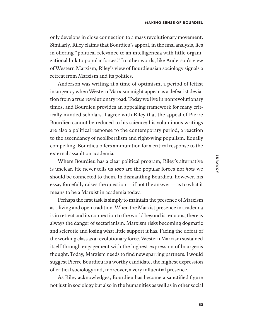only develops in close connection to a mass revolutionary movement. Similarly, Riley claims that Bourdieu's appeal, in the final analysis, lies in offering "political relevance to an intelligentsia with little organizational link to popular forces." In other words, like Anderson's view of Western Marxism, Riley's view of Bourdieusian sociology signals a retreat from Marxism and its politics.

Anderson was writing at a time of optimism, a period of lefist insurgency when Western Marxism might appear as a defeatist deviation from a true revolutionary road. Today we live in nonrevolutionary times, and Bourdieu provides an appealing framework for many critically minded scholars. I agree with Riley that the appeal of Pierre Bourdieu cannot be reduced to his science; his voluminous writings are also a political response to the contemporary period, a reaction to the ascendancy of neoliberalism and right-wing populism. Equally compelling, Bourdieu offers ammunition for a critical response to the external assault on academia.

Where Bourdieu has a clear political program, Riley's alternative is unclear. He never tells us *who* are the popular forces nor *how* we should be connected to them. In dismantling Bourdieu, however, his essay forcefully raises the question — if not the answer — as to what it means to be a Marxist in academia today.

Perhaps the first task is simply to maintain the presence of Marxism as a living and open tradition. When the Marxist presence in academia is in retreat and its connection to the world beyond is tenuous, there is always the danger of sectarianism. Marxism risks becoming dogmatic and sclerotic and losing what little support it has. Facing the defeat of the working class as a revolutionary force, Western Marxism sustained itself through engagement with the highest expression of bourgeois thought. Today, Marxism needs to find new sparring partners. I would suggest Pierre Bourdieu is a worthy candidate, the highest expression of critical sociology and, moreover, a very influential presence.

As Riley acknowledges, Bourdieu has become a sanctified figure not just in sociology but also in the humanities as well as in other social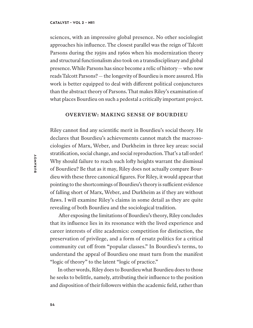sciences, with an impressive global presence. No other sociologist approaches his influence. The closest parallel was the reign of Talcott Parsons during the 1950s and 1960s when his modernization theory and structural functionalism also took on a transdisciplinary and global presence. While Parsons has since become a relic of history— who now reads Talcott Parsons?— the longevity of Bourdieu is more assured. His work is better equipped to deal with diferent political conjunctures than the abstract theory of Parsons. That makes Riley's examination of what places Bourdieu on such a pedestal a critically important project.

### **OVERVIEW: MAKING SENSE OF BOURDIEU**

Riley cannot find any scientific merit in Bourdieu's social theory. He declares that Bourdieu's achievements cannot match the macrosociologies of Marx, Weber, and Durkheim in three key areas: social stratification, social change, and social reproduction. That's a tall order! Why should failure to reach such lofy heights warrant the dismissal of Bourdieu? Be that as it may, Riley does not actually compare Bourdieu with these three canonical figures. For Riley, it would appear that pointing to the shortcomings of Bourdieu's theory is sufficient evidence of falling short of Marx, Weber, and Durkheim as if they are without flaws. I will examine Riley's claims in some detail as they are quite revealing of both Bourdieu and the sociological tradition.

Afer exposing the limitations of Bourdieu's theory, Riley concludes that its influence lies in its resonance with the lived experience and career interests of elite academics: competition for distinction, the preservation of privilege, and a form of ersatz politics for a critical community cut off from "popular classes." In Bourdieu's terms, to understand the appeal of Bourdieu one must turn from the manifest "logic of theory" to the latent "logic of practice."

In other words, Riley does to Bourdieu what Bourdieu does to those he seeks to belittle, namely, attributing their influence to the position and disposition of their followers within the academic field, rather than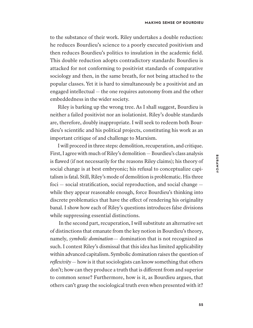to the substance of their work. Riley undertakes a double reduction: he reduces Bourdieu's science to a poorly executed positivism and then reduces Bourdieu's politics to insulation in the academic field. This double reduction adopts contradictory standards: Bourdieu is attacked for not conforming to positivist standards of comparative sociology and then, in the same breath, for not being attached to the popular classes. Yet it is hard to simultaneously be a positivist and an engaged intellectual — the one requires autonomy from and the other embeddedness in the wider society.

Riley is barking up the wrong tree. As I shall suggest, Bourdieu is neither a failed positivist nor an isolationist. Riley's double standards are, therefore, doubly inappropriate. I will seek to redeem both Bourdieu's scientific and his political projects, constituting his work as an important critique of and challenge to Marxism.

I will proceed in three steps: demolition, recuperation, and critique. First, I agree with much of Riley's demolition— Bourdieu's class analysis is flawed (if not necessarily for the reasons Riley claims); his theory of social change is at best embryonic; his refusal to conceptualize capitalism is fatal. Still, Riley's mode of demolition is problematic. His three foci — social stratification, social reproduction, and social change while they appear reasonable enough, force Bourdieu's thinking into discrete problematics that have the efect of rendering his originality banal. I show how each of Riley's questions introduces false divisions while suppressing essential distinctions.

 In the second part, recuperation, I will substitute an alternative set of distinctions that emanate from the key notion in Bourdieu's theory, namely, *symbolic domination*— domination that is not recognized as such. I contest Riley's dismissal that this idea has limited applicability within advanced capitalism. Symbolic domination raises the question of *reflexivity*— how is it that sociologists can know something that others don't; how can they produce a truth that is diferent from and superior to common sense? Furthermore, how is it, as Bourdieu argues, that others can't grasp the sociological truth even when presented with it?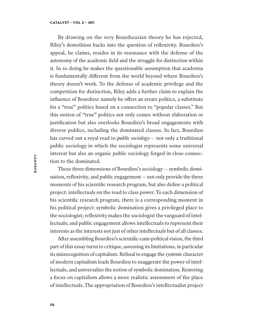By drawing on the very Bourdieusian theory he has rejected, Riley's demolition backs into the question of reflexivity. Bourdieu's appeal, he claims, resides in its resonance with the defense of the autonomy of the academic field and the struggle for distinction within it. In so doing he makes the questionable assumption that academia is fundamentally diferent from the world beyond where Bourdieu's theory doesn't work. To the defense of academic privilege and the competition for distinction, Riley adds a further claim to explain the influence of Bourdieu: namely he ofers an ersatz politics, a substitute for a "true" politics based on a connection to "popular classes." But this notion of "true" politics not only comes without elaboration or justification but also overlooks Bourdieu's broad engagements with diverse publics, including the dominated classes. In fact, Bourdieu has carved out a royal road to *public sociology* — not only a traditional public sociology in which the sociologist represents some universal interest but also an organic public sociology forged in close connection to the dominated.

These three dimensions of Bourdieu's sociology— symbolic domination, reflexivity, and public engagement— not only provide the three moments of his scientific research program, but also define a political project: intellectuals on the road to class power. To each dimension of his scientific research program, there is a corresponding moment in his political project: symbolic domination gives a privileged place to the sociologist; reflexivity makes the sociologist the vanguard of intellectuals; and public engagement allows intellectuals to represent their interests as the interests not just of other intellectuals but of all classes.

Afer assembling Bourdieu's scientific-cum-political vision, the third part of this essay turns to critique, assessing its limitations, in particular its misrecognition of capitalism. Refusal to engage the *systemic* character of modern capitalism leads Bourdieu to exaggerate the power of intellectuals, and universalize the notion of symbolic domination. Restoring a focus on capitalism allows a more realistic assessment of the place of intellectuals. The appropriation of Bourdieu's intellectualist project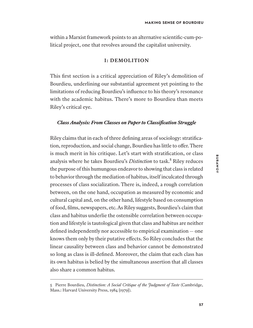within a Marxist framework points to an alternative scientific-cum-political project, one that revolves around the capitalist university.

### **I: DEMOLITION**

This first section is a critical appreciation of Riley's demolition of Bourdieu, underlining our substantial agreement yet pointing to the limitations of reducing Bourdieu's influence to his theory's resonance with the academic habitus. There's more to Bourdieu than meets Riley's critical eye.

### *Class Analysis: From Classes on Paper to Classification Struggle*

Riley claims that in each of three defining areas of sociology: stratification, reproduction, and social change, Bourdieu has little to ofer. There is much merit in his critique. Let's start with stratification, or class analysis where he takes Bourdieu's *Distinction* to task.<sup>5</sup> Riley reduces the purpose of this humungous endeavor to showing that class is related to behavior through the mediation of habitus, itself inculcated through processes of class socialization. There is, indeed, a rough correlation between, on the one hand, occupation as measured by economic and cultural capital and, on the other hand, lifestyle based on consumption of food, films, newspapers, etc. As Riley suggests, Bourdieu's claim that class and habitus underlie the ostensible correlation between occupation and lifestyle is tautological given that class and habitus are neither defined independently nor accessible to empirical examination — one knows them only by their putative efects. So Riley concludes that the linear causality between class and behavior cannot be demonstrated so long as class is ill-defined. Moreover, the claim that each class has its own habitus is belied by the simultaneous assertion that all classes also share a common habitus.

<sup>5</sup> Pierre Bourdieu, *Distinction: A Social Critique of the Judgment of Taste* (Cambridge, Mass.: Harvard University Press, 1984 [1979]).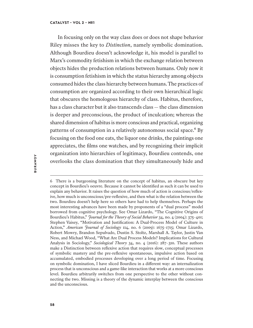In focusing only on the way class does or does not shape behavior Riley misses the key to *Distinction*, namely symbolic domination. Although Bourdieu doesn't acknowledge it, his model is parallel to Marx's commodity fetishism in which the exchange relation between objects hides the production relations between humans. Only now it is consumption fetishism in which the status hierarchy among objects consumed hides the class hierarchy between humans. The practices of consumption are organized according to their own hierarchical logic that obscures the homologous hierarchy of class. Habitus, therefore, has a class character but it also transcends class — the class dimension is deeper and preconscious, the product of inculcation; whereas the shared dimension of habitus is more conscious and practical, organizing patterns of consumption in a relatively autonomous social space.<sup>6</sup> By focusing on the food one eats, the liquor one drinks, the paintings one appreciates, the films one watches, and by recognizing their implicit organization into hierarchies of legitimacy, Bourdieu contends, one overlooks the class domination that they simultaneously hide and

<sup>6</sup> There is a burgeoning literature on the concept of habitus, an obscure but key concept in Bourdieu's oeuvre. Because it cannot be identified as such it can be used to explain any behavior. It raises the question of how much of action is conscious/reflexive, how much is unconscious/pre-reflexive, and then what is the relation between the two. Bourdieu doesn't help here so others have had to help themselves. Perhaps the most interesting advances have been made by proponents of a "dual process" model borrowed from cognitive psychology. See Omar Lizardo, "The Cognitive Origins of Bourdieu's Habitus," *Journal for the Theory of Social Behavior* 34, no. 4 (2004): 375–401; Stephen Vaisey, "Motivation and Justification: A Dual-Process Model of Culture in Action," *American Journal of Sociology* 114, no. 6 (2009): 1675–1715; Omar Lizardo, Robert Mowry, Brandon Sepulvado, Dustin S. Stoltz, Marshall A. Taylor, Justin Van Ness, and Michael Wood, "What Are Dual Process Models? Implications for Cultural Analysis in Sociology," *Sociological Theory* 34, no. 4 (2016): 287–310. These authors make a Distinction between reflexive action that requires slow, conceptual processes of symbolic mastery and the pre-reflexive spontaneous, impulsive action based on accumulated, embodied processes developing over a long period of time. Focusing on symbolic domination, I have sliced Bourdieu in a diferent way: an internalization process that is unconscious and a game-like interaction that works at a more conscious level. Bourdieu arbitrarily switches from one perspective to the other without connecting the two. Missing is a theory of the dynamic interplay between the conscious and the unconscious.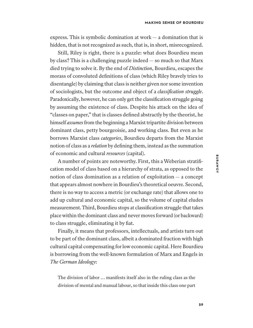express. This is symbolic domination at work — a domination that is hidden, that is not recognized as such, that is, in short, misrecognized.

Still, Riley is right, there is a puzzle: what does Bourdieu mean by class? This is a challenging puzzle indeed — so much so that Marx died trying to solve it. By the end of *Distinction*, Bourdieu, escapes the morass of convoluted definitions of class (which Riley bravely tries to disentangle) by claiming that class is neither given nor some invention of sociologists, but the outcome and object of a *classification struggle*. Paradoxically, however, he can only get the classification struggle going by assuming the existence of class. Despite his attack on the idea of "classes on paper," that is classes defined abstractly by the theorist, he himself *assumes* from the beginning a Marxist tripartite division between dominant class, petty bourgeoisie, and working class. But even as he borrows Marxist class *categories*, Bourdieu departs from the Marxist notion of class as a *relation* by defining them, instead as the summation of economic and cultural *resources* (capital).

A number of points are noteworthy. First, this a Weberian stratification model of class based on a hierarchy of strata, as opposed to the notion of class domination as a relation of exploitation — a concept that appears almost nowhere in Bourdieu's theoretical oeuvre. Second, there is no way to access a metric (or exchange rate) that allows one to add up cultural and economic capital, so the volume of capital eludes measurement. Third, Bourdieu stops at classification struggle that takes place within the dominant class and never moves forward (or backward) to class struggle, eliminating it by fiat.

Finally, it means that professors, intellectuals, and artists turn out to be part of the dominant class, albeit a dominated fraction with high cultural capital compensating for low economic capital. Here Bourdieu is borrowing from the well-known formulation of Marx and Engels in *The German Ideology*:

The division of labor … manifests itself also in the ruling class as the division of mental and manual labour, so that inside this class one part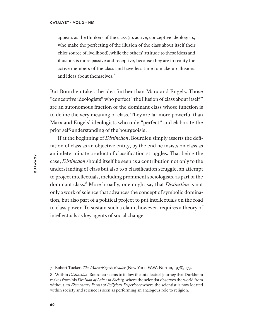appears as the thinkers of the class (its active, conceptive ideologists, who make the perfecting of the illusion of the class about itself their chief source of livelihood), while the others' attitude to these ideas and illusions is more passive and receptive, because they are in reality the active members of the class and have less time to make up illusions and ideas about themselves.<sup>7</sup>

But Bourdieu takes the idea further than Marx and Engels. Those "conceptive ideologists" who perfect "the illusion of class about itself" are an autonomous fraction of the dominant class whose function is to define the very meaning of class. They are far more powerful than Marx and Engels' ideologists who only "perfect" and elaborate the prior self-understanding of the bourgeoisie.

If at the beginning of *Distinction*, Bourdieu simply asserts the definition of class as an objective entity, by the end he insists on class as an indeterminate product of classification struggles. That being the case, *Distinction* should itself be seen as a contribution not only to the understanding of class but also to a classification struggle, an attempt to project intellectuals, including prominent sociologists, as part of the dominant class.⁸ More broadly, one might say that *Distinction* is not only a work of science that advances the concept of symbolic domination, but also part of a political project to put intellectuals on the road to class power. To sustain such a claim, however, requires a theory of intellectuals as key agents of social change.

<sup>7</sup> Robert Tucker, *The Marx-Engels Reader* (New York: W.W. Norton, 1978), 173.

<sup>8</sup> Within *Distinction*, Bourdieu seems to follow the intellectual journey that Durkheim makes from his *Division of Labor in Society,* where the scientist observes the world from without, to *Elementary Forms of Religious Experience* where the scientist is now located within society and science is seen as performing an analogous role to religion.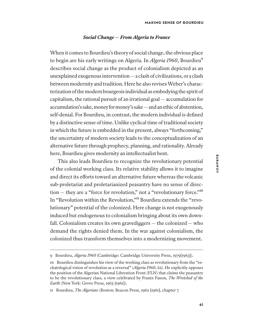### *Social Change — From Algeria to France*

When it comes to Bourdieu's theory of social change, the obvious place to begin are his early writings on Algeria. In *Algeria 1960*, Bourdieu<sup>9</sup> describes social change as the product of colonialism depicted as an unexplained exogenous intervention— a clash of civilizations, or a clash between modernity and tradition. Here he also revises Weber's characterization of the modern bourgeois individual as embodying the spirit of capitalism, the rational pursuit of an irrational goal — accumulation for accumulation's sake, money for money's sake— and an ethic of abstention, self-denial. For Bourdieu, in contrast, the modern individual is defined by a distinctive sense of time. Unlike cyclical time of traditional society in which the future is embedded in the present, always "forthcoming," the uncertainty of modern society leads to the conceptualization of an alternative future through prophecy, planning, and rationality. Already here, Bourdieu gives modernity an intellectualist bent.

This also leads Bourdieu to recognize the revolutionary potential of the colonial working class. Its relative stability allows it to imagine and direct its efforts toward an alternative future whereas the volcanic sub-proletariat and proletarianized peasantry have no sense of direction — they are a "force for revolution," not a "revolutionary force." $10$ In "Revolution within the Revolution,"<sup>11</sup> Bourdieu extends the "revolutionary" potential of the colonized. Here change is not exogenously induced but endogenous to colonialism bringing about its own downfall. Colonialism creates its own gravediggers — the colonized — who demand the rights denied them. In the war against colonialism, the colonized thus transform themselves into a modernizing movement.

<sup>9</sup> Bourdieu, *Algeria 1960* (Cambridge: Cambridge University Press, 1979[1963]).

<sup>10</sup> Bourdieu distinguishes his view of the working class as revolutionary from the "eschatological vision of revolution as a reversal" (*Algeria 1960*, 62). He explicitly opposes the position of the Algerian National Liberation Front (FLN) that claims the peasantry to be the revolutionary class, a view celebrated by Frantz Fanon, *The Wretched of the Earth* (New York: Grove Press, 1963 [1961]).

<sup>11</sup> Bourdieu, *The Algerians* (Boston: Beacon Press, 1962 [1961], chapter 7.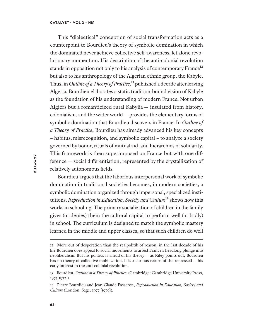This "dialectical" conception of social transformation acts as a counterpoint to Bourdieu's theory of symbolic domination in which the dominated never achieve collective self-awareness, let alone revolutionary momentum. His description of the anti-colonial revolution stands in opposition not only to his analysis of contemporary France<sup>12</sup> but also to his anthropology of the Algerian ethnic group, the Kabyle. Thus, in *Outline of a Theory of Practice*,<sup>13</sup> published a decade after leaving Algeria, Bourdieu elaborates a static tradition-bound vision of Kabyle as the foundation of his understanding of modern France. Not urban Algiers but a romanticized rural Kabylia — insulated from history, colonialism, and the wider world — provides the elementary forms of symbolic domination that Bourdieu discovers in France. In *Outline of a Theory of Practice*, Bourdieu has already advanced his key concepts – habitus, misrecognition, and symbolic capital – to analyze a society governed by honor, rituals of mutual aid, and hierarchies of solidarity. This framework is then superimposed on France but with one difference — social diferentiation, represented by the crystallization of relatively autonomous fields.

Bourdieu argues that the laborious interpersonal work of symbolic domination in traditional societies becomes, in modern societies, a symbolic domination organized through impersonal, specialized institutions. *Reproduction in Education, Society and Culture*<sup>14</sup> shows how this works in schooling. The primary socialization of children in the family gives (or denies) them the cultural capital to perform well (or badly) in school. The curriculum is designed to match the symbolic mastery learned in the middle and upper classes, so that such children do well

<sup>12</sup> More out of desperation than the realpolitik of reason, in the last decade of his life Bourdieu does appeal to social movements to arrest France's headlong plunge into neoliberalism. But his politics is ahead of his theory — as Riley points out, Bourdieu has no theory of collective mobilization. It is a curious return of the repressed — his early interest in the anti-colonial revolution.

<sup>13</sup> Bourdieu, *Outline of a Theory of Practice.* (Cambridge: Cambridge University Press, 1977[1972]).

<sup>14</sup> Pierre Bourdieu and Jean-Claude Passeron, *Reproduction in Education, Society and Culture* (London: Sage, 1977 [1970]).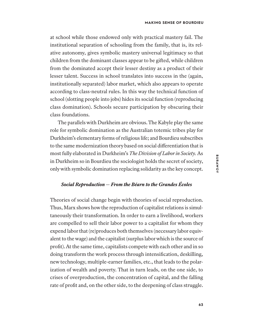at school while those endowed only with practical mastery fail. The institutional separation of schooling from the family, that is, its relative autonomy, gives symbolic mastery universal legitimacy so that children from the dominant classes appear to be gifed, while children from the dominated accept their lesser destiny as a product of their lesser talent. Success in school translates into success in the (again, institutionally separated) labor market, which also appears to operate according to class-neutral rules. In this way the technical function of school (slotting people into jobs) hides its social function (reproducing class domination). Schools secure participation by obscuring their class foundations.

The parallels with Durkheim are obvious. The Kabyle play the same role for symbolic domination as the Australian totemic tribes play for Durkheim's elementary forms of religious life; and Bourdieu subscribes to the same modernization theory based on social diferentiation that is most fully elaborated in Durkheim's *The Division of Labor in Society.* As in Durkheim so in Bourdieu the sociologist holds the secret of society, only with symbolic domination replacing solidarity as the key concept.

# *Social Reproduction — From the Béarn to the Grandes Écoles*

Theories of social change begin with theories of social reproduction. Thus, Marx shows how the reproduction of capitalist relations is simultaneously their transformation. In order to earn a livelihood, workers are compelled to sell their labor power to a capitalist for whom they expend labor that (re)produces both themselves (necessary labor equivalent to the wage) and the capitalist (surplus labor which is the source of profit). At the same time, capitalists compete with each other and in so doing transform the work process through intensification, deskilling, new technology, multiple-earner families, etc., that leads to the polarization of wealth and poverty. That in turn leads, on the one side, to crises of overproduction, the concentration of capital, and the falling rate of profit and, on the other side, to the deepening of class struggle.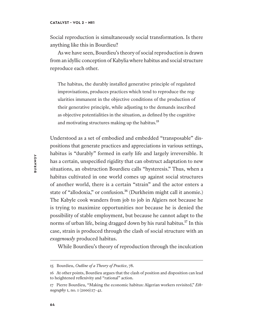Social reproduction is simultaneously social transformation. Is there anything like this in Bourdieu?

As we have seen, Bourdieu's theory of social reproduction is drawn from an idyllic conception of Kabylia where habitus and social structure reproduce each other.

The habitus, the durably installed generative principle of regulated improvisations, produces practices which tend to reproduce the regularities immanent in the objective conditions of the production of their generative principle, while adjusting to the demands inscribed as objective potentialities in the situation, as defined by the cognitive and motivating structures making up the habitus.<sup>15</sup>

Understood as a set of embodied and embedded "transposable" dispositions that generate practices and appreciations in various settings, habitus is "durably" formed in early life and largely irreversible. It has a certain, unspecified rigidity that can obstruct adaptation to new situations, an obstruction Bourdieu calls "hysteresis." Thus, when a habitus cultivated in one world comes up against social structures of another world, there is a certain "strain" and the actor enters a state of "allodoxia," or confusion.<sup>16</sup> (Durkheim might call it anomie.) The Kabyle cook wanders from job to job in Algiers not because he is trying to maximize opportunities nor because he is denied the possibility of stable employment, but because he cannot adapt to the norms of urban life, being dragged down by his rural habitus.<sup>17</sup> In this case, strain is produced through the clash of social structure with an *exogenously* produced habitus.

While Bourdieu's theory of reproduction through the inculcation

<sup>15</sup> Bourdieu, *Outline of a Theory of Practice*, 78.

<sup>16</sup> At other points, Bourdieu argues that the clash of position and disposition can lead to heightened reflexivity and "rational" action.

<sup>17</sup> Pierre Bourdieu, "Making the economic habitus: Algerian workers revisited," *Ethnography* 1, no. 1 (2000):17–41.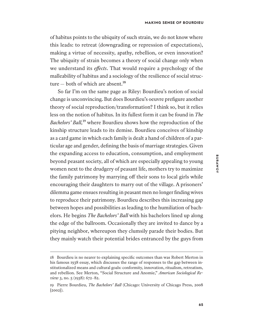of habitus points to the ubiquity of such strain, we do not know where this leads: to retreat (downgrading or repression of expectations), making a virtue of necessity, apathy, rebellion, or even innovation? The ubiquity of strain becomes a theory of social change only when we understand its *efects*. That would require a psychology of the malleability of habitus and a sociology of the resilience of social structure  $-$  both of which are absent.<sup>18</sup>

So far I'm on the same page as Riley: Bourdieu's notion of social change is unconvincing. But does Bourdieu's oeuvre prefigure another theory of social reproduction/transformation? I think so, but it relies less on the notion of habitus. In its fullest form it can be found in *The Bachelors' Ball*,<sup>19</sup> where Bourdieu shows how the reproduction of the kinship structure leads to its demise. Bourdieu conceives of kinship as a card game in which each family is dealt a hand of children of a particular age and gender, defining the basis of marriage strategies. Given the expanding access to education, consumption, and employment beyond peasant society, all of which are especially appealing to young women next to the drudgery of peasant life, mothers try to maximize the family patrimony by marrying off their sons to local girls while encouraging their daughters to marry out of the village. A prisoners' dilemma game ensues resulting in peasant men no longer finding wives to reproduce their patrimony. Bourdieu describes this increasing gap between hopes and possibilities as leading to the humiliation of bachelors. He begins *The Bachelors' Ball* with his bachelors lined up along the edge of the ballroom. Occasionally they are invited to dance by a pitying neighbor, whereupon they clumsily parade their bodies. But they mainly watch their potential brides entranced by the guys from

<sup>18</sup> Bourdieu is no nearer to explaining specific outcomes than was Robert Merton in his famous 1938 essay, which discusses the range of responses to the gap between institutionalized means and cultural goals: conformity, innovation, ritualism, retreatism, and rebellion. See Merton, "Social Structure and Anomie," *American Sociological Review* 3, no. 5 (1938): 672–82.

<sup>19</sup> Pierre Bourdieu, *The Bachelors' Ball* (Chicago: University of Chicago Press, 2008 [2002]).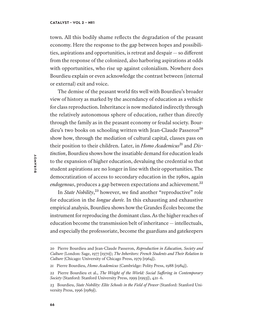### **CATALYST • VOL 2 • №1**

town. All this bodily shame reflects the degradation of the peasant economy. Here the response to the gap between hopes and possibilities, aspirations and opportunities, is retreat and despair — so diferent from the response of the colonized, also harboring aspirations at odds with opportunities, who rise up against colonialism. Nowhere does Bourdieu explain or even acknowledge the contrast between (internal or external) exit and voice.

The demise of the peasant world fits well with Bourdieu's broader view of history as marked by the ascendancy of education as a vehicle for class reproduction. Inheritance is now mediated indirectly through the relatively autonomous sphere of education, rather than directly through the family as in the peasant economy or feudal society. Bourdieu's two books on schooling written with Jean-Claude Passeron<sup>20</sup> show how, through the mediation of cultural capital, classes pass on their position to their children. Later, in *Homo Academicus*<sup>21</sup> and *Distinction*, Bourdieu shows how the insatiable demand for education leads to the expansion of higher education, devaluing the credential so that student aspirations are no longer in line with their opportunities. The democratization of access to secondary education in the 1980s, again endogenous, produces a gap between expectations and achievement.<sup>22</sup>

In *State Nobility*<sup>23</sup> however, we find another "reproductive" role for education in the *longue durée.* In this exhausting and exhaustive empirical analysis, Bourdieu shows how the Grandes Écoles become the instrument for reproducing the dominant class. As the higher reaches of education become the transmission belt of inheritance — intellectuals, and especially the professoriate, become the guardians and gatekeepers

<sup>20</sup> Pierre Bourdieu and Jean-Claude Passeron, *Reproduction in Education, Society and Culture* (London: Sage, 1977 [1970]); *The Inheritors: French Students and Their Relation to Culture* (Chicago: University of Chicago Press, 1979 [1964]).

<sup>21</sup> Pierre Bourdieu, *Homo Academicus* (Cambridge: Polity Press, 1988 [1984]).

<sup>22</sup> Pierre Bourdieu et al., *The Weight of the World: Social Sufering in Contemporary Society* (Stanford: Stanford University Press, 1999 [1993]), 421–6.

<sup>23</sup> Bourdieu, *State Nobility: Elite Schools in the Field of Power* (Stanford: Stanford University Press, 1996 [1989]).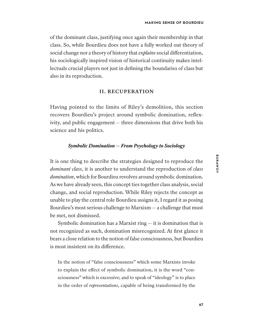of the dominant class, justifying once again their membership in that class. So, while Bourdieu does not have a fully worked out theory of social change nor a theory of history that *explains* social diferentiation, his sociologically inspired vision of historical continuity makes intellectuals crucial players not just in defining the boundaries of class but also in its reproduction.

# **II. RECUPERATION**

Having pointed to the limits of Riley's demolition, this section recovers Bourdieu's project around symbolic domination, reflexivity, and public engagement— three dimensions that drive both his science and his politics.

### *Symbolic Domination — From Psychology to Sociology*

It is one thing to describe the strategies designed to reproduce the *dominant class*, it is another to understand the reproduction of *class domination*, which for Bourdieu revolves around symbolic domination. As we have already seen, this concept ties together class analysis, social change, and social reproduction. While Riley rejects the concept as unable to play the central role Bourdieu assigns it, I regard it as posing Bourdieu's most serious challenge to Marxism— a challenge that must be met, not dismissed.

Symbolic domination has a Marxist ring  $-$  it is domination that is not recognized as such, domination misrecognized. At first glance it bears a close relation to the notion of false consciousness, but Bourdieu is most insistent on its diference.

In the notion of "false consciousness" which some Marxists invoke to explain the efect of symbolic domination, it is the word "consciousness" which is excessive; and to speak of "ideology" is to place in the order of *representations*, capable of being transformed by the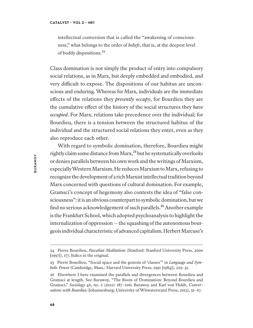intellectual conversion that is called the "awakening of consciousness," what belongs to the order of *beliefs*, that is, at the deepest level of bodily dispositions.<sup>24</sup>

Class domination is not simply the product of entry into compulsory social relations, as in Marx, but deeply embedded and embodied, and very difficult to expose. The dispositions of our habitus are unconscious and enduring. Whereas for Marx, individuals are the immediate efects of the relations they *presently occupy*, for Bourdieu they are the cumulative efect of the history of the social structures they *have occupied*. For Marx, relations take precedence over the individual; for Bourdieu, there is a tension between the structured habitus of the individual and the structured social relations they enter, even as they also reproduce each other.

With regard to symbolic domination, therefore, Bourdieu might rightly claim some distance from Marx,<sup>25</sup> but he systematically overlooks or denies parallels between his own work and the writings of Marxism, especially Western Marxism. He reduces Marxism to Marx, refusing to recognize the development of a rich Marxist intellectual tradition beyond Marx concerned with questions of cultural domination. For example, Gramsci's concept of hegemony also contests the idea of "false consciousness": it is an obvious counterpart to symbolic domination, but we find no serious acknowledgement of such parallels.<sup>26</sup> Another example is the Frankfurt School, which adopted psychoanalysis to highlight the internalization of oppression— the squashing of the autonomous bourgeois individual characteristic of advanced capitalism. Herbert Marcuse's

<sup>24</sup> Pierre Bourdieu, *Pascalian Meditations* (Stanford: Stanford University Press, 2000 [1997]), 177. Italics in the original.

<sup>25</sup> Pierre Bourdieu, "Social space and the genesis of 'classes'" in *Language and Symbolic Power* (Cambridge, Mass.: Harvard University Press, 1991 [1984]), 229–51.

<sup>26</sup> Elsewhere I have examined the parallels and divergences between Bourdieu and Gramsci at length. See Burawoy, "The Roots of Domination: Beyond Bourdieu and Gramsci," *Sociology* 46, no. 2 (2012): 187–206; Burawoy and Karl von Holdt, *Conversations with Bourdieu* (Johannesburg; University of Witwatersrand Press, 2012), 51–67.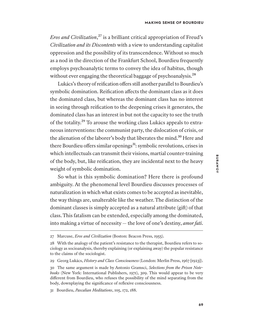*Eros and Civilization*,<sup>27</sup> is a brilliant critical appropriation of Freud's *Civilization and its Discontents* with a view to understanding capitalist oppression and the possibility of its transcendence. Without so much as a nod in the direction of the Frankfurt School, Bourdieu frequently employs psychoanalytic terms to convey the idea of habitus, though without ever engaging the theoretical baggage of psychoanalysis.<sup>28</sup>

Lukács's theory of reification offers still another parallel to Bourdieu's symbolic domination. Reification afects the dominant class as it does the dominated class, but whereas the dominant class has no interest in seeing through reification to the deepening crises it generates, the dominated class has an interest in but not the capacity to see the truth of the totality.<sup>29</sup> To arouse the working class Lukács appeals to extraneous interventions: the communist party, the dislocation of crisis, or the alienation of the laborer's body that liberates the mind.<sup>30</sup> Here and there Bourdieu offers similar openings<sup>31</sup>: symbolic revolutions, crises in which intellectuals can transmit their visions, martial counter-training of the body, but, like reification, they are incidental next to the heavy weight of symbolic domination.

So what is this symbolic domination? Here there is profound ambiguity. At the phenomenal level Bourdieu discusses processes of naturalization in which what exists comes to be accepted as inevitable, the way things are, unalterable like the weather. The distinction of the dominant classes is simply accepted as a natural attribute (gif) of that class. This fatalism can be extended, especially among the dominated, into making a virtue of necessity — the love of one's destiny, *amor fati*.

<sup>27</sup> Marcuse, *Eros and Civilization* (Boston: Beacon Press, 1955).

<sup>28</sup> With the analogy of the patient's resistance to the therapist, Bourdieu refers to sociology as socioanalysis, thereby explaining (or explaining away) the popular resistance to the claims of the sociologist.

<sup>29</sup> Georg Lukács, *History and Class Consciousness* (London: Merlin Press, 1967 [1923]).

<sup>30</sup> The same argument is made by Antonio Gramsci, *Selections from the Prison Notebooks* (New York: International Publishers, 1971), 309. This would appear to be very diferent from Bourdieu, who refuses the possibility of the mind separating from the body, downplaying the significance of reflexive consciousness.

<sup>31</sup> Bourdieu, *Pascalian Meditations*, 105, 172, 188.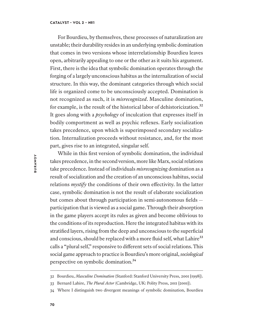For Bourdieu, by themselves, these processes of naturalization are unstable; their durability resides in an underlying symbolic domination that comes in two versions whose interrelationship Bourdieu leaves open, arbitrarily appealing to one or the other as it suits his argument. First, there is the idea that symbolic domination operates through the forging of a largely unconscious habitus as the internalization of social structure. In this way, the dominant categories through which social life is organized come to be unconsciously accepted. Domination is not recognized as such, it is *misrecognized*. Masculine domination, for example, is the result of the historical labor of dehistoricization.<sup>32</sup> It goes along with a *psychology* of inculcation that expresses itself in bodily comportment as well as psychic reflexes. Early socialization takes precedence, upon which is superimposed secondary socialization. Internalization proceeds without resistance, and, for the most part, gives rise to an integrated, singular self.

While in this first version of symbolic domination, the individual takes precedence, in the second version, more like Marx, social relations take precedence. Instead of individuals *misrecognizing* domination as a result of socialization and the creation of an unconscious habitus, social relations *mystify* the conditions of their own effectivity. In the latter case, symbolic domination is not the result of elaborate socialization but comes about through participation in semi-autonomous fields participation that is viewed as a social game. Through their absorption in the game players accept its rules as given and become oblivious to the conditions of its reproduction. Here the integrated habitus with its stratified layers, rising from the deep and unconscious to the superficial and conscious, should be replaced with a more fluid self, what Lahire<sup>33</sup> calls a "plural self," responsive to diferent sets of social relations. This social game approach to practice is Bourdieu's more original, *sociological* perspective on symbolic domination.<sup>34</sup>

<sup>32</sup> Bourdieu, *Masculine Domination* (Stanford: Stanford University Press, 2001 [1998]).

<sup>33</sup> Bernard Lahire, *The Plural Actor* (Cambridge, UK: Polity Press, 2011 [2001]).

<sup>34</sup> Where I distinguish two divergent meanings of symbolic domination, Bourdieu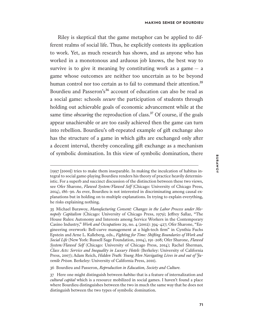Riley is skeptical that the game metaphor can be applied to different realms of social life. Thus, he explicitly contests its application to work. Yet, as much research has shown, and as anyone who has worked in a monotonous and arduous job knows, the best way to survive is to give it meaning by constituting work as a game  $-$  a game whose outcomes are neither too uncertain as to be beyond human control nor too certain as to fail to command their attention.<sup>35</sup> Bourdieu and Passeron's<sup>36</sup> account of education can also be read as a social game: schools *secure* the participation of students through holding out achievable goals of economic advancement while at the same time *obscuring* the reproduction of class.<sup>37</sup> Of course, if the goals appear unachievable or are too easily achieved then the game can turn into rebellion. Bourdieu's oft-repeated example of gift exchange also has the structure of a game in which gifs are exchanged only afer a decent interval, thereby concealing gif exchange as a mechanism of symbolic domination. In this view of symbolic domination, there

36 Bourdieu and Passeron, *Reproduction in Education, Society and Culture.*

<sup>(</sup>1997 [2000]) tries to make them inseparable. In making the inculcation of habitus integral to social game-playing Bourdieu renders his theory of practice heavily deterministic. For a superb and succinct discussion of the distinction between these two views, see Ofer Sharone, *Flawed System/Flawed Self* (Chicago: University of Chicago Press, 2014), 186–90. As ever, Bourdieu is not interested in discriminating among causal explanations but in holding on to multiple explanations. In trying to explain everything, he risks explaining nothing.

<sup>35</sup> Michael Burawoy, *Manufacturing Consent: Changes in the Labor Process under Monopoly Capitalism* (Chicago: University of Chicago Press, 1979); Jefrey Sallaz, "The House Rules: Autonomy and Interests among Service Workers in the Contemporary Casino Industry," *Work and Occupations* 29, no. 4 (2002): 394–427; Ofer Sharone, "Engineering overwork: Bell-curve management at a high-tech firm" in Cynthia Fuchs Epstein and Arne L. Kalleberg, eds., *Fighting for Time: Shifing Boundaries of Work and Social Life* (New York: Russell Sage Foundation, 2004), 191–208; Ofer Sharone, *Flawed System/Flawed Self* (Chicago: University of Chicago Press, 2014); Rachel Sherman, *Class Acts: Service and Inequality in Luxury Hotels* (Berkeley: University of California Press, 2007); Adam Reich, *Hidden Truth: Young Men Navigating Lives in and out of Fuvenile Prison.* Berkeley: University of California Press, 2010).

<sup>37</sup> Here one might distinguish between *habitus* that is a feature of internalization and *cultural capital* which is a resource mobilized in social games. I haven't found a place where Bourdieu distinguishes between the two in much the same way that he does not distinguish between the two types of symbolic domination.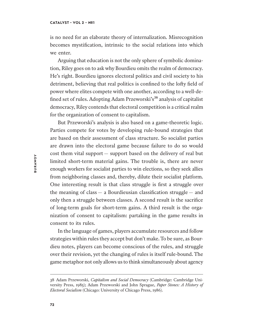is no need for an elaborate theory of internalization. Misrecognition becomes mystification, intrinsic to the social relations into which we enter.

Arguing that education is not the only sphere of symbolic domination, Riley goes on to ask why Bourdieu omits the realm of democracy. He's right. Bourdieu ignores electoral politics and civil society to his detriment, believing that real politics is confined to the lofy field of power where elites compete with one another, according to a well-defined set of rules. Adopting Adam Przeworski's<sup>38</sup> analysis of capitalist democracy, Riley contends that electoral competition is a critical realm for the organization of consent to capitalism.

But Przeworski's analysis is also based on a game-theoretic logic. Parties compete for votes by developing rule-bound strategies that are based on their assessment of class structure. So socialist parties are drawn into the electoral game because failure to do so would cost them vital support — support based on the delivery of real but limited short-term material gains. The trouble is, there are never enough workers for socialist parties to win elections, so they seek allies from neighboring classes and, thereby, dilute their socialist platform. One interesting result is that class struggle is first a struggle over the meaning of class — a Bourdieusian classification struggle — and only then a struggle between classes. A second result is the sacrifice of long-term goals for short-term gains. A third result is the organization of consent to capitalism: partaking in the game results in consent to its rules.

In the language of games, players accumulate resources and follow strategies within rules they accept but don't make. To be sure, as Bourdieu notes, players can become conscious of the rules, and struggle over their revision, yet the changing of rules is itself rule-bound. The game metaphor not only allows us to think simultaneously about agency

<sup>38</sup> Adam Przeworski, *Capitalism and Social Democracy* (Cambridge: Cambridge University Press, 1985); Adam Przeworski and John Sprague, *Paper Stones: A History of Electoral Socialism* (Chicago: University of Chicago Press, 1986).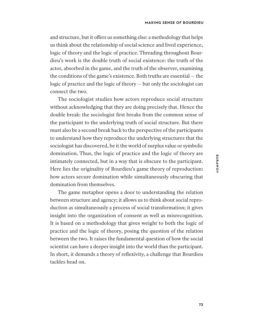and structure, but it offers us something else: a methodology that helps us think about the relationship of social science and lived experience, logic of theory and the logic of practice. Threading throughout Bourdieu's work is the double truth of social existence: the truth of the actor, absorbed in the game, and the truth of the observer, examining the conditions of the game's existence. Both truths are essential— the logic of practice and the logic of theory — but only the sociologist can connect the two.

The sociologist studies how actors reproduce social structure without acknowledging that they are doing precisely that. Hence the double break: the sociologist first breaks from the common sense of the participant to the underlying truth of social structure. But there must also be a second break back to the perspective of the participants to understand how they reproduce the underlying structures that the sociologist has discovered, be it the world of surplus value or symbolic domination. Thus, the logic of practice and the logic of theory are intimately connected, but in a way that is obscure to the participant. Here lies the originality of Bourdieu's game theory of reproduction: how actors secure domination while simultaneously obscuring that domination from themselves.

The game metaphor opens a door to understanding the relation between structure and agency; it allows us to think about social reproduction as simultaneously a process of social transformation; it gives insight into the organization of consent as well as misrecognition. It is based on a methodology that gives weight to both the logic of practice and the logic of theory, posing the question of the relation between the two. It raises the fundamental question of how the social scientist can have a deeper insight into the world than the participant. In short, it demands a theory of reflexivity, a challenge that Bourdieu tackles head on.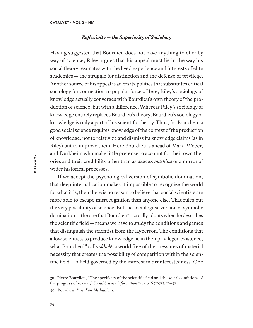# *Reflexivity — the Superiority of Sociology*

Having suggested that Bourdieu does not have anything to offer by way of science, Riley argues that his appeal must lie in the way his social theory resonates with the lived experience and interests of elite academics — the struggle for distinction and the defense of privilege. Another source of his appeal is an ersatz politics that substitutes critical sociology for connection to popular forces. Here, Riley's sociology of knowledge actually converges with Bourdieu's own theory of the production of science, but with a diference. Whereas Riley's sociology of knowledge entirely replaces Bourdieu's theory, Bourdieu's sociology of knowledge is only a part of his scientific theory. Thus, for Bourdieu, a good social science requires knowledge of the context of the production of knowledge, not to relativize and dismiss its knowledge claims (as in Riley) but to improve them. Here Bourdieu is ahead of Marx, Weber, and Durkheim who make little pretense to account for their own theories and their credibility other than as *deus ex machina* or a mirror of wider historical processes.

If we accept the psychological version of symbolic domination, that deep internalization makes it impossible to recognize the world for what it is, then there is no reason to believe that social scientists are more able to escape misrecognition than anyone else. That rules out the very possibility of science. But the sociological version of symbolic  $domination$ — the one that Bourdieu<sup>39</sup> actually adopts when he describes the scientific field— means we have to study the conditions and games that distinguish the scientist from the layperson. The conditions that allow scientists to produce knowledge lie in their privileged existence, what Bourdieu<sup>40</sup> calls *skholè*, a world free of the pressures of material necessity that creates the possibility of competition within the scientific field — a field governed by the interest in disinterestedness. One

<sup>39</sup> Pierre Bourdieu, "The specificity of the scientific field and the social conditions of the progress of reason," *Social Science Information* 14, no. 6 (1975): 19–47.

<sup>40</sup> Bourdieu, *Pascalian Meditations.*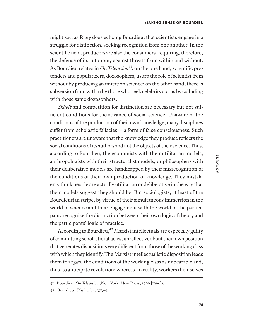might say, as Riley does echoing Bourdieu, that scientists engage in a struggle for distinction, seeking recognition from one another. In the scientific field, producers are also the consumers, requiring, therefore, the defense of its autonomy against threats from within and without. As Bourdieu relates in *On Television*<sup>41</sup>: on the one hand, scientific pretenders and popularizers, doxosophers, usurp the role of scientist from without by producing an imitation science; on the other hand, there is subversion from within by those who seek celebrity status by colluding with those same doxosophers.

*Skholè* and competition for distinction are necessary but not sufficient conditions for the advance of social science. Unaware of the conditions of the production of their own knowledge, many disciplines sufer from scholastic fallacies — a form of false consciousness. Such practitioners are unaware that the knowledge they produce reflects the social conditions of its authors and not the objects of their science. Thus, according to Bourdieu, the economists with their utilitarian models, anthropologists with their structuralist models, or philosophers with their deliberative models are handicapped by their misrecognition of the conditions of their own production of knowledge. They mistakenly think people are actually utilitarian or deliberative in the way that their models suggest they should be. But sociologists, at least of the Bourdieusian stripe, by virtue of their simultaneous immersion in the world of science and their engagement with the world of the participant, recognize the distinction between their own logic of theory and the participants' logic of practice.

According to Bourdieu,<sup>42</sup> Marxist intellectuals are especially guilty of committing scholastic fallacies, unreflective about their own position that generates dispositions very diferent from those of the working class with which they identify. The Marxist intellectualistic disposition leads them to regard the conditions of the working class as unbearable and, thus, to anticipate revolution; whereas, in reality, workers themselves

<sup>41</sup> Bourdieu, *On Television* (New York: New Press, 1999 [1996]).

<sup>42</sup> Bourdieu, *Distinction*, 373–4.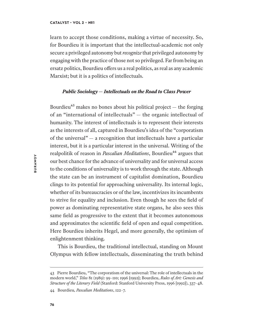learn to accept those conditions, making a virtue of necessity. So, for Bourdieu it is important that the intellectual-academic not only secure a privileged autonomy but *recognize* that privileged autonomy by engaging with the practice of those not so privileged. Far from being an ersatz politics, Bourdieu ofers us a real politics, as real as any academic Marxist; but it is a politics of intellectuals.

# *Public Sociology — Intellectuals on the Road to Class Power*

Bourdieu $43$  makes no bones about his political project  $-$  the forging of an "international of intellectuals" — the organic intellectual of humanity. The interest of intellectuals is to represent their interests as the interests of all, captured in Bourdieu's idea of the "corporatism of the universal" — a recognition that intellectuals have a particular interest, but it is a particular interest in the universal. Writing of the realpolitik of reason in *Pascalian Meditations*, Bourdieu<sup>44</sup> argues that our best chance for the advance of universality and for universal access to the conditions of universality is to work through the state. Although the state can be an instrument of capitalist domination, Bourdieu clings to its potential for approaching universality. Its internal logic, whether of its bureaucracies or of the law, incentivizes its incumbents to strive for equality and inclusion. Even though he sees the field of power as dominating representative state organs, he also sees this same field as progressive to the extent that it becomes autonomous and approximates the scientific field of open and equal competition. Here Bourdieu inherits Hegel, and more generally, the optimism of enlightenment thinking.

This is Bourdieu, the traditional intellectual, standing on Mount Olympus with fellow intellectuals, disseminating the truth behind

<sup>43</sup> Pierre Bourdieu, "The corporatism of the universal: The role of intellectuals in the modern world," *Telos* 81 (1989): 99–110; 1996 [1992]; Bourdieu, *Rules of Art: Genesis and Structure of the Literary Field* (Stanford: Stanford University Press, 1996 [1992]), 337–48.

<sup>44</sup> Bourdieu*, Pascalian Meditations*, 122–7.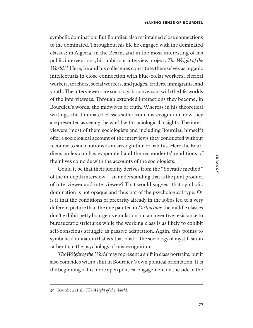symbolic domination. But Bourdieu also maintained close connections to the dominated. Throughout his life he engaged with the dominated classes: in Algeria, in the Béarn, and in the most interesting of his public interventions, his ambitious interview project, *The Weight of the World*.<sup>45</sup> Here, he and his colleagues constitute themselves as organic intellectuals in close connection with blue-collar workers, clerical workers, teachers, social workers, and judges, traders, immigrants, and youth. The interviewers are sociologists conversant with the life-worlds of the interviewees. Through extended interactions they become, in Bourdieu's words, the midwives of truth. Whereas in his theoretical writings, the dominated classes suffer from misrecognition, now they are presented as seeing the world with sociological insights. The interviewers (most of them sociologists and including Bourdieu himself ) ofer a sociological account of the interviews they conducted without recourse to such notions as misrecognition or habitus. Here the Bourdieusian lexicon has evaporated and the respondents' renditions of their lives coincide with the accounts of the sociologists.

Could it be that their lucidity derives from the "Socratic method" of the in-depth interview— an understanding that is the joint product of interviewer and interviewee? That would suggest that symbolic domination is not opaque and thus not of the psychological type. Or is it that the conditions of precarity already in the 1980s led to a very diferent picture than the one painted in *Distinction*: the middle classes don't exhibit petty bourgeois emulation but an inventive resistance to bureaucratic strictures while the working class is as likely to exhibit self-conscious struggle as passive adaptation. Again, this points to symbolic domination that is situational— the sociology of mystification rather than the psychology of misrecognition.

*The Weight of the World* may represent a shif in class portraits, but it also coincides with a shift in Bourdieu's own political orientation. It is the beginning of his more open political engagement on the side of the

<sup>45</sup> Bourdieu et al., *The Weight of the World.*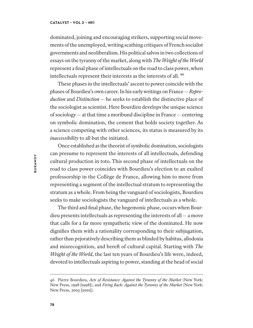dominated, joining and encouraging strikers, supporting social movements of the unemployed, writing scathing critiques of French socialist governments and neoliberalism. His political salvos in two collections of essays on the tyranny of the market, along with *The Weight of the World* represent a final phase of intellectuals on the road to class power, when intellectuals represent their interests as the interests of all.<sup>46</sup>

These phases in the intellectuals' ascent to power coincide with the phases of Bourdieu's own career. In his early writings on France— *Reproduction* and *Distinction* — he seeks to establish the distinctive place of the sociologist as scientist. Here Bourdieu develops the unique science of sociology— at that time a moribund discipline in France— centering on symbolic domination, the cement that holds society together. As a science competing with other sciences, its status is measured by its *inaccessibility* to all but the initiated.

Once established as the theorist of symbolic domination, sociologists can presume to represent the interests of all intellectuals, defending cultural production in toto. This second phase of intellectuals on the road to class power coincides with Bourdieu's election to an exalted professorship in the Collège de France, allowing him to move from representing a segment of the intellectual stratum to representing the stratum as a whole. From being the vanguard of sociologists, Bourdieu seeks to make sociologists the vanguard of intellectuals as a whole.

The third and final phase, the hegemonic phase, occurs when Bourdieu presents intellectuals as representing the interests of all— a move that calls for a far more sympathetic view of the dominated. He now dignifies them with a rationality corresponding to their subjugation, rather than pejoratively describing them as blinded by habitus, allodoxia and misrecognition, and bereft of cultural capital. Starting with *The Weight of the World*, the last ten years of Bourdieu's life were, indeed, devoted to intellectuals aspiring to power, standing at the head of social

<sup>46</sup> Pierre Bourdieu, *Acts of Resistance: Against the Tyranny of the Market* (New York: New Press, 1998 [1998]), and *Firing Back: Against the Tyranny of the Market* (New York: New Press, 2003 [2001]).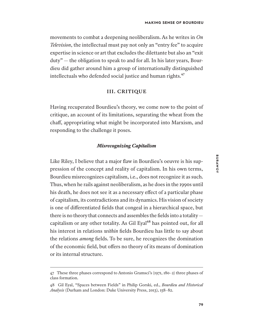movements to combat a deepening neoliberalism. As he writes in *On Television*, the intellectual must pay not only an "entry fee" to acquire expertise in science or art that excludes the dilettante but also an "exit duty" — the obligation to speak to and for all. In his later years, Bourdieu did gather around him a group of internationally distinguished intellectuals who defended social justice and human rights.<sup>47</sup>

# **III. CRITIQUE**

Having recuperated Bourdieu's theory, we come now to the point of critique, an account of its limitations, separating the wheat from the chaf, appropriating what might be incorporated into Marxism, and responding to the challenge it poses.

# *Misrecognizing Capitalism*

Like Riley, I believe that a major flaw in Bourdieu's oeuvre is his suppression of the concept and reality of capitalism. In his own terms, Bourdieu misrecognizes capitalism, i.e., does not recognize it as such. Thus, when he rails against neoliberalism, as he does in the 1990s until his death, he does not see it as a necessary efect of a particular phase of capitalism, its contradictions and its dynamics. His vision of society is one of diferentiated fields that congeal in a hierarchical space, but there is no theory that connects and assembles the fields into a totality capitalism or any other totality. As Gil Eyal<sup>48</sup> has pointed out, for all his interest in relations *within* fields Bourdieu has little to say about the relations *among* fields. To be sure, he recognizes the domination of the economic field, but ofers no theory of its means of domination or its internal structure.

<sup>47</sup> These three phases correspond to Antonio Gramsci's (1971, 180–2) three phases of class formation.

<sup>48</sup> Gil Eyal, "Spaces between Fields" in Philip Gorski, ed., *Bourdieu and Historical Analysis* (Durham and London: Duke University Press, 2013), 158–82.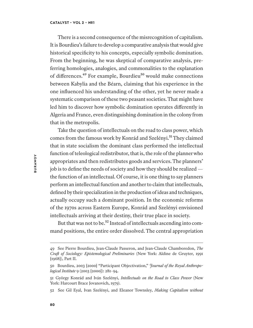There is a second consequence of the misrecognition of capitalism. It is Bourdieu's failure to develop a comparative analysis that would give historical specificity to his concepts, especially symbolic domination. From the beginning, he was skeptical of comparative analysis, preferring homologies, analogies, and commonalities to the explanation of differences.<sup>49</sup> For example, Bourdieu<sup>50</sup> would make connections between Kabylia and the Béarn, claiming that his experience in the one influenced his understanding of the other, yet he never made a systematic comparison of these two peasant societies. That might have led him to discover how symbolic domination operates diferently in Algeria and France, even distinguishing domination in the colony from that in the metropolis.

Take the question of intellectuals on the road to class power, which comes from the famous work by Konrád and Szelényi.<sup>51</sup> They claimed that in state socialism the dominant class performed the intellectual function of teleological redistributor, that is, the role of the planner who appropriates and then redistributes goods and services. The planners' job is to define the needs of society and how they should be realized the function of an intellectual. Of course, it is one thing to say planners perform an intellectual function and another to claim that intellectuals, defined by their specialization in the production of ideas and techniques, actually occupy such a dominant position. In the economic reforms of the 1970s across Eastern Europe, Konrád and Szelényi envisioned intellectuals arriving at their destiny, their true place in society.

But that was not to be.<sup>52</sup> Instead of intellectuals ascending into command positions, the entire order dissolved. The central appropriation

<sup>49</sup> See Pierre Bourdieu, Jean-Claude Passeron, and Jean-Claude Chamboredon, *The Craf of Sociology: Epistemological Preliminaries* (New York: Aldine de Gruyter, 1991 [1968]), Part II.

<sup>50</sup> Bourdieu, 2003 [2000] "Participant Objectivation," *Journal of the Royal Anthropological Institute* 9 (2003 [2000]): 281–94.

<sup>51</sup> György Konrád and Iván Szelényi, *Intellectuals on the Road to Class Power* (New York: Harcourt Brace Jovanovich, 1979).

<sup>52</sup> See Gil Eyal, Ivan Szelényi, and Eleanor Townsley, *Making Capitalism without*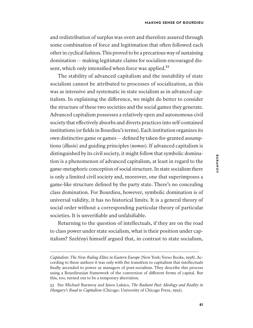and redistribution of surplus was overt and therefore assured through some combination of force and legitimation that often followed each other in cyclical fashion. This proved to be a precarious way of sustaining domination — making legitimate claims for socialism encouraged dissent, which only intensified when force was applied.<sup>53</sup>

The stability of advanced capitalism and the instability of state socialism cannot be attributed to processes of socialization, as this was as intensive and systematic in state socialism as in advanced capitalism. In explaining the diference, we might do better to consider the structure of these two societies and the social games they generate. Advanced capitalism possesses a relatively open and autonomous civil society that efectively absorbs and diverts practices into self-contained institutions (or fields in Bourdieu's terms). Each institution organizes its own distinctive game or games— defined by taken-for-granted assumptions (*illusio*) and guiding principles (*nomos*). If advanced capitalism is distinguished by its civil society, it might follow that symbolic domination is a phenomenon of advanced capitalism, at least in regard to the game-metaphoric conception of social structure. In state socialism there is only a limited civil society and, moreover, one that superimposes a game-like structure defined by the party state. There's no concealing class domination. For Bourdieu, however, symbolic domination is of universal validity, it has no historical limits. It is a general theory of social order without a corresponding particular theory of particular societies. It is unverifiable and unfalsifiable.

Returning to the question of intellectuals, if they are on the road to class power under state socialism, what is their position under capitalism? Szelényi himself argued that, in contrast to state socialism,

*Capitalists: The New Ruling Elites in Eastern Europe* (New York: Verso Books, 1998). According to these authors it was only with the transition to capitalism that intellectuals finally ascended to power as managers of post-socialism. They describe this process using a Bourdieusian framework of the conversion of diferent forms of capital. But this, too, turned out to be a temporary aberration.

<sup>53</sup> See Michael Burawoy and János Lukács, *The Radiant Past: Ideology and Reality in Hungary's Road to Capitalism* (Chicago: University of Chicago Press, 1992).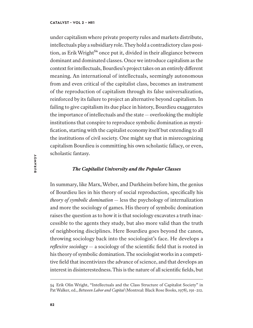under capitalism where private property rules and markets distribute, intellectuals play a subsidiary role. They hold a contradictory class position, as Erik Wright<sup>54</sup> once put it, divided in their allegiance between dominant and dominated classes. Once we introduce capitalism as the context for intellectuals, Bourdieu's project takes on an entirely diferent meaning. An international of intellectuals, seemingly autonomous from and even critical of the capitalist class, becomes an instrument of the reproduction of capitalism through its false universalization, reinforced by its failure to project an alternative beyond capitalism. In failing to give capitalism its due place in history, Bourdieu exaggerates the importance of intellectuals and the state— overlooking the multiple institutions that conspire to reproduce symbolic domination as mystification, starting with the capitalist economy itself but extending to all the institutions of civil society. One might say that in misrecognizing capitalism Bourdieu is committing his own scholastic fallacy, or even, scholastic fantasy.

# *The Capitalist University and the Popular Classes*

In summary, like Marx, Weber, and Durkheim before him, the genius of Bourdieu lies in his theory of social reproduction, specifically his *theory of symbolic domination* — less the psychology of internalization and more the sociology of games. His theory of symbolic domination raises the question as to how it is that sociology excavates a truth inaccessible to the agents they study, but also more valid than the truth of neighboring disciplines. Here Bourdieu goes beyond the canon, throwing sociology back into the sociologist's face. He develops a *reflexive sociology* — a sociology of the scientific field that is rooted in his theory of symbolic domination. The sociologist works in a competitive field that incentivizes the advance of science, and that develops an interest in disinterestedness. This is the nature of all scientific fields, but

<sup>54</sup> Erik Olin Wright, "Intellectuals and the Class Structure of Capitalist Society" in Pat Walker, ed., *Between Labor and Capital* (Montreal: Black Rose Books, 1978), 191–212.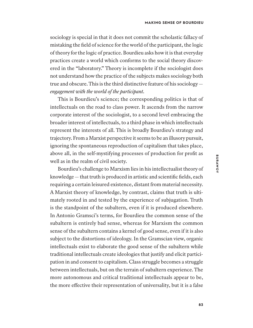sociology is special in that it does not commit the scholastic fallacy of mistaking the field of science for the world of the participant, the logic of theory for the logic of practice. Bourdieu asks how it is that everyday practices create a world which conforms to the social theory discovered in the "laboratory." Theory is incomplete if the sociologist does not understand how the practice of the subjects makes sociology both true and obscure. This is the third distinctive feature of his sociology *engagement with the world of the participant*.

This is Bourdieu's science; the corresponding politics is that of intellectuals on the road to class power. It ascends from the narrow corporate interest of the sociologist, to a second level embracing the broader interest of intellectuals, to a third phase in which intellectuals represent the interests of all. This is broadly Bourdieu's strategy and trajectory. From a Marxist perspective it seems to be an illusory pursuit, ignoring the spontaneous reproduction of capitalism that takes place, above all, in the self-mystifying processes of production for profit as well as in the realm of civil society.

Bourdieu's challenge to Marxism lies in his intellectualist theory of knowledge— that truth is produced in artistic and scientific fields, each requiring a certain leisured existence, distant from material necessity. A Marxist theory of knowledge, by contrast, claims that truth is ultimately rooted in and tested by the experience of subjugation. Truth is the standpoint of the subaltern, even if it is produced elsewhere. In Antonio Gramsci's terms, for Bourdieu the common sense of the subaltern is entirely bad sense, whereas for Marxism the common sense of the subaltern contains a kernel of good sense, even if it is also subject to the distortions of ideology. In the Gramscian view, organic intellectuals exist to elaborate the good sense of the subaltern while traditional intellectuals create ideologies that justify and elicit participation in and consent to capitalism. Class struggle becomes a struggle between intellectuals, but on the terrain of subaltern experience. The more autonomous and critical traditional intellectuals appear to be, the more efective their representation of universality, but it is a false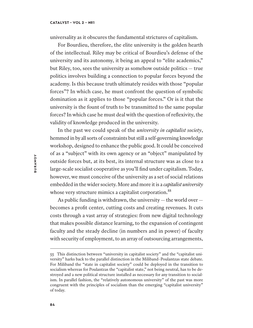universality as it obscures the fundamental strictures of capitalism.

For Bourdieu, therefore, the elite university is the golden hearth of the intellectual. Riley may be critical of Bourdieu's defense of the university and its autonomy, it being an appeal to "elite academics," but Riley, too, sees the university as somehow outside politics — true politics involves building a connection to popular forces beyond the academy. Is this because truth ultimately resides with those "popular forces"? In which case, he must confront the question of symbolic domination as it applies to those "popular forces." Or is it that the university is the fount of truth to be transmitted to the same popular forces? In which case he must deal with the question of reflexivity, the validity of knowledge produced in the university.

In the past we could speak of the *university in capitalist society*, hemmed in by all sorts of constraints but still a self-governing knowledge workshop, designed to enhance the public good. It could be conceived of as a "subject" with its own agency or an "object" manipulated by outside forces but, at its best, its internal structure was as close to a large-scale socialist cooperative as you'll find under capitalism. Today, however, we must conceive of the university as a set of social relations embedded in the wider society. More and more it is a *capitalist university* whose very structure mimics a capitalist corporation.<sup>55</sup>

As public funding is withdrawn, the university— the world over becomes a profit center, cutting costs and creating revenues. It cuts costs through a vast array of strategies: from new digital technology that makes possible distance learning, to the expansion of contingent faculty and the steady decline (in numbers and in power) of faculty with security of employment, to an array of outsourcing arrangements,

<sup>55</sup> This distinction between "university in capitalist society" and the "capitalist university" harks back to the parallel distinction in the Miliband–Poulantzas state debate. For Miliband the "state in capitalist society" could be deployed in the transition to socialism whereas for Poulantzas the "capitalist state," not being neutral, has to be destroyed and a new political structure installed as necessary for any transition to socialism. In parallel fashion, the "relatively autonomous university" of the past was more congruent with the principles of socialism than the emerging "capitalist university" of today.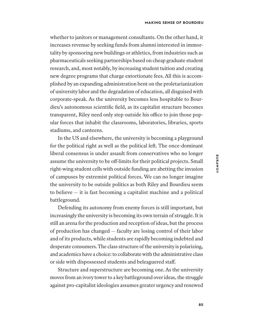whether to janitors or management consultants. On the other hand, it increases revenue by seeking funds from alumni interested in immortality by sponsoring new buildings or athletics, from industries such as pharmaceuticals seeking partnerships based on cheap graduate student research, and, most notably, by increasing student tuition and creating new degree programs that charge extortionate fees. All this is accomplished by an expanding administration bent on the proletarianization of university labor and the degradation of education, all disguised with corporate-speak. As the university becomes less hospitable to Bourdieu's autonomous scientific field, as its capitalist structure becomes transparent, Riley need only step outside his office to join those popular forces that inhabit the classrooms, laboratories, libraries, sports stadiums, and canteens.

In the US and elsewhere, the university is becoming a playground for the political right as well as the political lef. The once-dominant liberal consensus is under assault from conservatives who no longer assume the university to be off-limits for their political projects. Small right-wing student cells with outside funding are abetting the invasion of campuses by extremist political forces. We can no longer imagine the university to be outside politics as both Riley and Bourdieu seem to believe — it is fast becoming a capitalist machine and a political battleground.

Defending its autonomy from enemy forces is still important, but increasingly the university is becoming its own terrain of struggle. It is still an arena for the production and reception of ideas, but the process of production has changed — faculty are losing control of their labor and of its products, while students are rapidly becoming indebted and desperate consumers. The class structure of the university is polarizing, and academics have a choice: to collaborate with the administrative class or side with dispossessed students and beleaguered staf.

Structure and superstructure are becoming one. As the university moves from an ivory tower to a key battleground over ideas, the struggle against pro-capitalist ideologies assumes greater urgency and renewed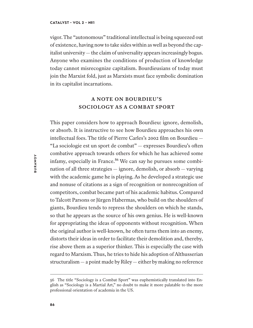vigor. The "autonomous" traditional intellectual is being squeezed out of existence, having now to take sides within as well as beyond the capitalist university— the claim of universality appears increasingly bogus. Anyone who examines the conditions of production of knowledge today cannot misrecognize capitalism. Bourdieusians of today must join the Marxist fold, just as Marxists must face symbolic domination in its capitalist incarnations.

# **A NOTE ON BOURDIEU'S SOCIOLOGY AS A COMBAT SPORT**

This paper considers how to approach Bourdieu: ignore, demolish, or absorb. It is instructive to see how Bourdieu approaches his own intellectual foes. The title of Pierre Carles's 2002 film on Bourdieu — "La sociologie est un sport de combat" — expresses Bourdieu's ofen combative approach towards others for which he has achieved some infamy, especially in France.<sup>56</sup> We can say he pursues some combination of all three strategies — ignore, demolish, or absorb — varying with the academic game he is playing. As he developed a strategic use and nonuse of citations as a sign of recognition or nonrecognition of competitors, combat became part of his academic habitus. Compared to Talcott Parsons or Jürgen Habermas, who build on the shoulders of giants, Bourdieu tends to repress the shoulders on which he stands, so that he appears as the source of his own genius. He is well-known for appropriating the ideas of opponents without recognition. When the original author is well-known, he ofen turns them into an enemy, distorts their ideas in order to facilitate their demolition and, thereby, rise above them as a superior thinker. This is especially the case with regard to Marxism. Thus, he tries to hide his adoption of Althusserian structuralism— a point made by Riley— either by making no reference

<sup>56</sup> The title "Sociology is a Combat Sport" was euphemistically translated into English as "Sociology is a Martial Art," no doubt to make it more palatable to the more professional orientation of academia in the US.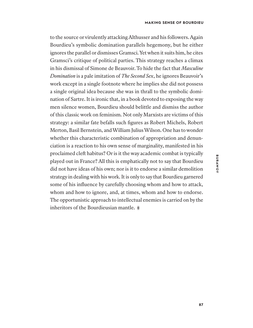to the source or virulently attacking Althusser and his followers. Again Bourdieu's symbolic domination parallels hegemony, but he either ignores the parallel or dismisses Gramsci. Yet when it suits him, he cites Gramsci's critique of political parties. This strategy reaches a climax in his dismissal of Simone de Beauvoir. To hide the fact that *Masculine Domination* is a pale imitation of *The Second Sex*, he ignores Beauvoir's work except in a single footnote where he implies she did not possess a single original idea because she was in thrall to the symbolic domination of Sartre. It is ironic that, in a book devoted to exposing the way men silence women, Bourdieu should belittle and dismiss the author of this classic work on feminism. Not only Marxists are victims of this strategy: a similar fate befalls such figures as Robert Michels, Robert Merton, Basil Bernstein, and William Julius Wilson. One has to wonder whether this characteristic combination of appropriation and denunciation is a reaction to his own sense of marginality, manifested in his proclaimed cleft habitus? Or is it the way academic combat is typically played out in France? All this is emphatically not to say that Bourdieu did not have ideas of his own; nor is it to endorse a similar demolition strategy in dealing with his work. It is only to say that Bourdieu garnered some of his influence by carefully choosing whom and how to attack, whom and how to ignore, and, at times, whom and how to endorse. The opportunistic approach to intellectual enemies is carried on by the inheritors of the Bourdieusian mantle.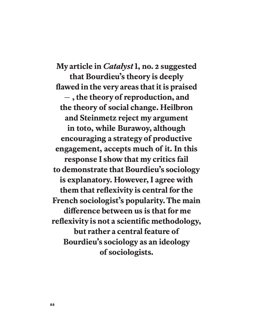**My article in** *Catalyst* **1, no. 2 suggested that Bourdieu's theory is deeply flawed in the very areas that it is praised – , the theory of reproduction, and the theory of social change. Heilbron and Steinmetz reject my argument in toto, while Burawoy, although encouraging a strategy of productive engagement, accepts much of it. In this response I show that my critics fail to demonstrate that Bourdieu's sociology is explanatory. However, I agree with them that reflexivity is central for the French sociologist's popularity. The main diference between us is that for me reflexivity is not a scientific methodology, but rather a central feature of Bourdieu's sociology as an ideology of sociologists.**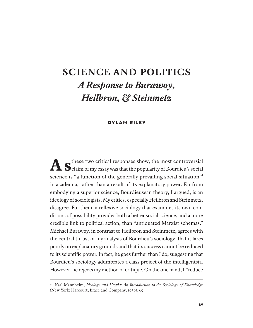# **SCIENCE AND POLITICS**  *A Response to Burawoy, Heilbron, & Steinmetz*

# **DYLAN RILEY**

A  $S$ <sup>these two critical responses show, the most controversial</sup> claim of my essay was that the popularity of Bourdieu's social science is "a function of the generally prevailing social situation"<sup>1</sup> in academia, rather than a result of its explanatory power. Far from embodying a superior science, Bourdieusean theory, I argued, is an ideology of sociologists. My critics, especially Heilbron and Steinmetz, disagree. For them, a reflexive sociology that examines its own conditions of possibility provides both a better social science, and a more credible link to political action, than "antiquated Marxist schemas." Michael Burawoy, in contrast to Heilbron and Steinmetz, agrees with the central thrust of my analysis of Bourdieu's sociology, that it fares poorly on explanatory grounds and that its success cannot be reduced to its scientific power. In fact, he goes further than I do, suggesting that Bourdieu's sociology adumbrates a class project of the intelligentsia. However, he rejects my method of critique. On the one hand, I "reduce

<sup>1</sup> Karl Mannheim, *Ideology and Utopia: An Introduction to the Sociology of Knowledge* (New York: Harcourt, Brace and Company, 1936), 69.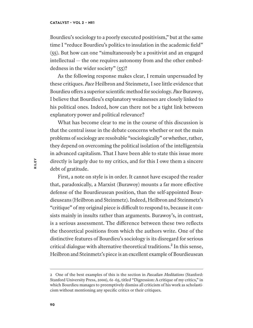Bourdieu's sociology to a poorly executed positivism," but at the same time I "reduce Bourdieu's politics to insulation in the academic field" (55). But how can one "simultaneously be a positivist and an engaged intellectual — the one requires autonomy from and the other embeddedness in the wider society" (55)?

As the following response makes clear, I remain unpersuaded by these critiques. *Pace* Heilbron and Steinmetz, I see little evidence that Bourdieu ofers a superior scientific method for sociology. *Pace* Burawoy, I believe that Bourdieu's explanatory weaknesses are closely linked to his political ones. Indeed, how can there not be a tight link between explanatory power and political relevance?

What has become clear to me in the course of this discussion is that the central issue in the debate concerns whether or not the main problems of sociology are resolvable "sociologically" or whether, rather, they depend on overcoming the political isolation of the intelligentsia in advanced capitalism. That I have been able to state this issue more directly is largely due to my critics, and for this I owe them a sincere debt of gratitude.

First, a note on style is in order. It cannot have escaped the reader that, paradoxically, a Marxist (Burawoy) mounts a far more efective defense of the Bourdieusean position, than the self-appointed Bourdieuseans (Heilbron and Steinmetz). Indeed, Heilbron and Steinmetz's "critique" of my original piece is difficult to respond to, because it consists mainly in insults rather than arguments. Burawoy's, in contrast, is a serious assessment. The diference between these two reflects the theoretical positions from which the authors write. One of the distinctive features of Bourdieu's sociology is its disregard for serious critical dialogue with alternative theoretical traditions.<sup>2</sup> In this sense, Heilbron and Steinmetz's piece is an excellent example of Bourdieusean

<sup>2</sup> One of the best examples of this is the section in *Pascalian Meditations* (Stanford: Stanford University Press, 2000), 61–65, titled "Digression: A critique of my critics," in which Bourdieu manages to preemptively dismiss all criticism of his work as scholasticism without mentioning any specific critics or their critiques.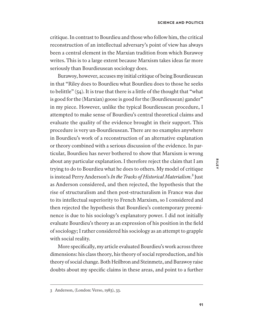critique. In contrast to Bourdieu and those who follow him, the critical reconstruction of an intellectual adversary's point of view has always been a central element in the Marxian tradition from which Burawoy writes. This is to a large extent because Marxism takes ideas far more seriously than Bourdieusean sociology does.

Burawoy, however, accuses my initial critique of being Bourdieusean in that "Riley does to Bourdieu what Bourdieu does to those he seeks to belittle" (54). It is true that there is a little of the thought that "what is good for the (Marxian) goose is good for the (Bourdieusean) gander" in my piece. However, unlike the typical Bourdieusean procedure, I attempted to make sense of Bourdieu's central theoretical claims and evaluate the quality of the evidence brought in their support. This procedure is very un-Bourdieusean. There are no examples anywhere in Bourdieu's work of a reconstruction of an alternative explanation or theory combined with a serious discussion of the evidence. In particular, Bourdieu has never bothered to show that Marxism is wrong about any particular explanation. I therefore reject the claim that I am trying to do to Bourdieu what he does to others. My model of critique is instead Perry Anderson's *In the Tracks of Historical Materialism*.³ Just as Anderson considered, and then rejected, the hypothesis that the rise of structuralism and then post-structuralism in France was due to its intellectual superiority to French Marxism, so I considered and then rejected the hypothesis that Bourdieu's contemporary preeminence is due to his sociology's explanatory power. I did not initially evaluate Bourdieu's theory as an expression of his position in the field of sociology; I rather considered his sociology as an attempt to grapple with social reality.

More specifically, my article evaluated Bourdieu's work across three dimensions: his class theory, his theory of social reproduction, and his theory of social change. Both Heilbron and Steinmetz, and Burawoy raise doubts about my specific claims in these areas, and point to a further

<sup>3</sup> Anderson, (London: Verso, 1983), 33.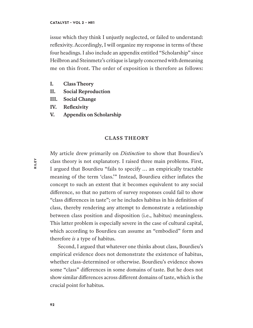issue which they think I unjustly neglected, or failed to understand: reflexivity. Accordingly, I will organize my response in terms of these four headings. I also include an appendix entitled "Scholarship" since Heilbron and Steinmetz's critique is largely concerned with demeaning me on this front. The order of exposition is therefore as follows:

- **I. Class Theory**
- **II. Social Reproduction**
- **III. Social Change**
- **IV. Reflexivity**
- **V. Appendix on Scholarship**

## **CLASS THEORY**

My article drew primarily on *Distinction* to show that Bourdieu's class theory is not explanatory. I raised three main problems. First, I argued that Bourdieu "fails to specify … an empirically tractable meaning of the term 'class.'" Instead, Bourdieu either inflates the concept to such an extent that it becomes equivalent to any social diference, so that no pattern of survey responses could fail to show "class diferences in taste"; or he includes habitus in his definition of class, thereby rendering any attempt to demonstrate a relationship between class position and disposition (i.e., habitus) meaningless. This latter problem is especially severe in the case of cultural capital, which according to Bourdieu can assume an "embodied" form and therefore *is* a type of habitus.

Second, I argued that whatever one thinks about class, Bourdieu's empirical evidence does not demonstrate the existence of habitus, whether class-determined or otherwise. Bourdieu's evidence shows some "class" diferences in some domains of taste. But he does not show similar diferences across diferent domains of taste, which is the crucial point for habitus.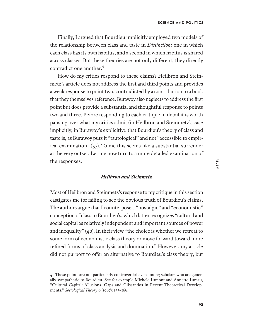Finally, I argued that Bourdieu implicitly employed two models of the relationship between class and taste in *Distinction*; one in which each class has its own habitus, and a second in which habitus is shared across classes. But these theories are not only diferent; they directly contradict one another.<sup>4</sup>

How do my critics respond to these claims? Heilbron and Steinmetz's article does not address the first and third points and provides a weak response to point two, contradicted by a contribution to a book that they themselves reference. Burawoy also neglects to address the first point but does provide a substantial and thoughtful response to points two and three. Before responding to each critique in detail it is worth pausing over what my critics admit (in Heilbron and Steinmetz's case implicitly, in Burawoy's explicitly): that Bourdieu's theory of class and taste is, as Burawoy puts it "tautological" and not "accessible to empirical examination" (57). To me this seems like a substantial surrender at the very outset. Let me now turn to a more detailed examination of the responses.

# *Heilbron and Steinmetz*

Most of Heilbron and Steinmetz's response to my critique in this section castigates me for failing to see the obvious truth of Bourdieu's claims. The authors argue that I counterpose a "nostalgic" and "economistic" conception of class to Bourdieu's, which latter recognizes "cultural and social capital as relatively independent and important sources of power and inequality" (40). In their view "the choice is whether we retreat to some form of economistic class theory or move forward toward more refined forms of class analysis and domination." However, my article did not purport to offer an alternative to Bourdieu's class theory, but

<sup>4</sup> These points are not particularly controversial even among scholars who are generally sympathetic to Bourdieu. See for example Michèle Lamont and Annette Lareau, "Cultural Capital: Allusions, Gaps and Glissandos in Recent Theoretical Developments," *Sociological Theory* 6 (1987): 153–168.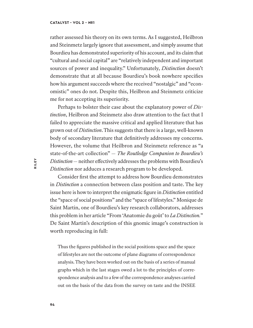rather assessed his theory on its own terms. As I suggested, Heilbron and Steinmetz largely ignore that assessment, and simply assume that Bourdieu has demonstrated superiority of his account, and its claim that "cultural and social capital" are "relatively independent and important sources of power and inequality." Unfortunately, *Distinction* doesn't demonstrate that at all because Bourdieu's book nowhere specifies how his argument succeeds where the received "nostalgic" and "economistic" ones do not. Despite this, Heilbron and Steinmetz criticize me for not accepting its superiority.

Perhaps to bolster their case about the explanatory power of *Distinction*, Heilbron and Steinmetz also draw attention to the fact that I failed to appreciate the massive critical and applied literature that has grown out of *Distinction*. This suggests that there is a large, well-known body of secondary literature that definitively addresses my concerns. However, the volume that Heilbron and Steinmetz reference as "a state-of-the-art collection" — *The Routledge Companion to Bourdieu's Distinction*— neither efectively addresses the problems with Bourdieu's *Distinction* nor adduces a research program to be developed.

Consider first the attempt to address how Bourdieu demonstrates in *Distinction* a connection between class position and taste. The key issue here is how to interpret the enigmatic figure in *Distinction* entitled the "space of social positions" and the "space of lifestyles." Monique de Saint Martin, one of Bourdieu's key research collaborators, addresses this problem in her article "From 'Anatomie du goût' to *La Distinction.*" De Saint Martin's description of this gnomic image's construction is worth reproducing in full:

Thus the figures published in the social positions space and the space of lifestyles are not the outcome of plane diagrams of correspondence analysis. They have been worked out on the basis of a series of manual graphs which in the last stages owed a lot to the principles of correspondence analysis and to a few of the correspondence analyses carried out on the basis of the data from the survey on taste and the INSEE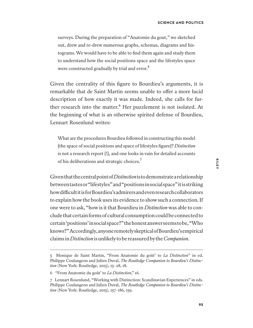surveys. During the preparation of "Anatomie du gout," we sketched out, drew and re-drew numerous graphs, schemas, diagrams and histograms. We would have to be able to find them again and study them to understand how the social positions space and the lifestyles space were constructed gradually by trial and error.<sup>5</sup>

Given the centrality of this figure to Bourdieu's arguments, it is remarkable that de Saint Martin seems unable to offer a more lucid description of how exactly it was made. Indeed, she calls for further research into the matter.<sup>6</sup> Her puzzlement is not isolated. At the beginning of what is an otherwise spirited defense of Bourdieu, Lennart Rosenlund writes:

What are the procedures Bourdieu followed in constructing this model [the space of social positions and space of lifestyles figure]? *Distinction* is not a research report [!], and one looks in vain for detailed accounts of his deliberations and strategic choices.<sup>7</sup>

Given that the central point of *Distinction* is to demonstrate a relationship between tastes or "lifestyles" and "positions in social space" it is striking how difcult it is for Bourdieu's admirers and even research collaborators to explain how the book uses its evidence to show such a connection. If one were to ask, "how is it that Bourdieu in *Distinction* was able to conclude that certain forms of cultural consumption could be connected to certain 'positions' in social space?" the honest answer seems to be, "Who knows?" Accordingly, anyone remotely skeptical of Bourdieu's empirical claims in *Distinction* is unlikely to be reassured by the *Companion*.

<sup>5</sup> Monique de Saint Martin, "From Anatomie du goût' to *La Distinction*" in ed. Philippe Coulangeon and Julien Duval, *The Routledge Companion to Bourdieu's Distinction* (New York: Routledge, 2015), 15–28, 18.

<sup>6</sup> "From Anatomie du goût' to *La Distinction*," 16.

<sup>7</sup> Lennart Rosenlund, "Working with Distinction: Scandinavian Experiences" in eds. Philippe Coulangeon and Julien Duval, *The Routledge Companion to Bourdieu's Distinction* (New York: Routledge, 2015), 157–186, 159.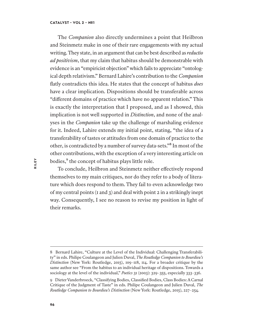The *Companion* also directly undermines a point that Heilbron and Steinmetz make in one of their rare engagements with my actual writing. They state, in an argument that can be best described as *reductio ad positivism*, that my claim that habitus should be demonstrable with evidence is an "empiricist objection" which fails to appreciate "ontological depth relativism." Bernard Lahire's contribution to the *Companion* flatly contradicts this idea. He states that the concept of habitus *does* have a clear implication. Dispositions should be transferable across "diferent domains of practice which have no apparent relation." This is exactly the interpretation that I proposed, and as I showed, this implication is not well supported in *Distinction*, and none of the analyses in the *Companion* take up the challenge of marshaling evidence for it. Indeed, Lahire extends my initial point, stating, "the idea of a transferability of tastes or attitudes from one domain of practice to the other, is contradicted by a number of survey data-sets."<sup>8</sup> In most of the other contributions, with the exception of a very interesting article on bodies,<sup>9</sup> the concept of habitus plays little role.

To conclude, Heilbron and Steinmetz neither efectively respond themselves to my main critiques, nor do they refer to a body of literature which does respond to them. They fail to even acknowledge two of my central points (1 and 3) and deal with point 2 in a strikingly inept way. Consequently, I see no reason to revise my position in light of their remarks.

<sup>8</sup> Bernard Lahire, "Culture at the Level of the Individual: Challenging Transferability" in eds. Philipe Coulangeon and Julien Duval, *The Routledge Companion to Bourdieu's Distinction* (New York: Routledge, 2015), 109–118, 114. For a broader critique by the same author see "From the habitus to an individual heritage of dispositions. Towards a sociology at the level of the individual," *Poetics* 31 (2003): 329–355, especially 333–336.

<sup>9</sup> Dieter Vanderbroeck, "Classifying Bodies, Classified Bodies, Class Bodies: A Carnal Critique of the Judgment of Taste" in eds. Philipe Coulangeon and Julien Duval, *The Routledge Companion to Bourdieu's Distinction* (New York: Routledge, 2015), 227–254.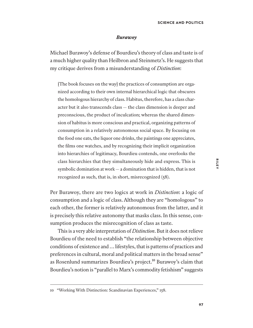#### *Burawoy*

Michael Burawoy's defense of Bourdieu's theory of class and taste is of a much higher quality than Heilbron and Steinmetz's. He suggests that my critique derives from a misunderstanding of *Distinction*:

[The book focuses on the way] the practices of consumption are organized according to their own internal hierarchical logic that obscures the homologous hierarchy of class. Habitus, therefore, has a class character but it also transcends class — the class dimension is deeper and preconscious, the product of inculcation; whereas the shared dimension of habitus is more conscious and practical, organizing patterns of consumption in a relatively autonomous social space. By focusing on the food one eats, the liquor one drinks, the paintings one appreciates, the films one watches, and by recognizing their implicit organization into hierarchies of legitimacy, Bourdieu contends, one overlooks the class hierarchies that they simultaneously hide and express. This is symbolic domination at work— a domination that is hidden, that is not recognized as such, that is, in short, misrecognized (58).

Per Burawoy, there are two logics at work in *Distinction*: a logic of consumption and a logic of class. Although they are "homologous" to each other, the former is relatively autonomous from the latter, and it is precisely this relative autonomy that masks class. In this sense, consumption produces the misrecognition of class as taste.

This is a very able interpretation of *Distinction*. But it does not relieve Bourdieu of the need to establish "the relationship between objective conditions of existence and … lifestyles, that is patterns of practices and preferences in cultural, moral and political matters in the broad sense" as Rosenlund summarizes Bourdieu's project.<sup>10</sup> Burawoy's claim that Bourdieu's notion is "parallel to Marx's commodity fetishism" suggests

<sup>10</sup> "Working With Distinction: Scandinavian Experiences," 158.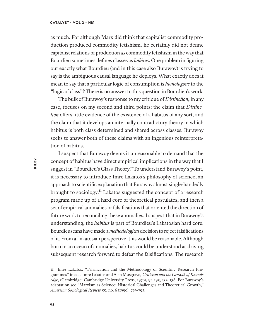as much. For although Marx did think that capitalist commodity production produced commodity fetishism, he certainly did not define capitalist relations of production *as* commodity fetishism in the way that Bourdieu sometimes defines classes as *habitus*. One problem in figuring out exactly what Bourdieu (and in this case also Burawoy) is trying to say is the ambiguous causal language he deploys. What exactly does it mean to say that a particular logic of consumption is *homologous* to the "logic of class"? There is no answer to this question in Bourdieu's work.

The bulk of Burawoy's response to my critique of *Distinction*, in any case, focuses on my second and third points: the claim that *Distinction* offers little evidence of the existence of a habitus of any sort, and the claim that it develops an internally contradictory theory in which habitus is both class determined and shared across classes. Burawoy seeks to answer both of these claims with an ingenious reinterpretation of habitus.

I suspect that Burawoy deems it unreasonable to demand that the concept of habitus have direct empirical implications in the way that I suggest in "Bourdieu's Class Theory." To understand Burawoy's point, it is necessary to introduce Imre Lakatos's philosophy of science, an approach to scientific explanation that Burawoy almost single-handedly brought to sociology.<sup>11</sup> Lakatos suggested the concept of a research program made up of a hard core of theoretical postulates, and then a set of empirical anomalies or falsifications that oriented the direction of future work to reconciling these anomalies. I suspect that in Burawoy's understanding, the *habitus* is part of Bourdieu's Lakatosian hard core. Bourdieuseans have made a *methodological* decision to reject falsifications of it. From a Lakatosian perspective, this would be reasonable. Although born in an ocean of anomalies, habitus could be understood as driving subsequent research forward to defeat the falsifications. The research

<sup>11</sup> Imre Lakatos, "Falsification and the Methodology of Scientific Research Programmes" in eds. Imre Lakatos and Alan Musgrave, *Criticism and the Growth of Knowledge*, (Cambridge: Cambridge University Press, 1970), 91–195, 132–138. For Burawoy's adaptation see "Marxism as Science: Historical Challenges and Theoretical Growth," *American Sociological Review* 55, no. 6 (1990): 775–793.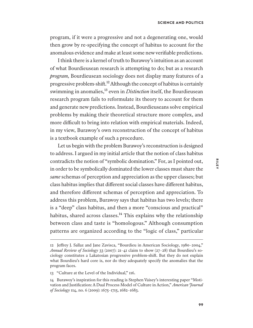program, if it were a progressive and not a degenerating one, would then grow by re-specifying the concept of habitus to account for the anomalous evidence and make at least some new verifiable predictions.

I think there is a kernel of truth to Burawoy's intuition as an account of what Bourdieusean research is attempting to do; but as a research *program,* Bourdieusean sociology does not display many features of a progressive problem-shift.<sup>12</sup> Although the concept of habitus is certainly swimming in anomalies,<sup>13</sup> even in *Distinction* itself, the Bourdieusean research program fails to reformulate its theory to account for them and generate new predictions. Instead, Bourdieuseans solve empirical problems by making their theoretical structure more complex, and more difficult to bring into relation with empirical materials. Indeed, in my view, Burawoy's own reconstruction of the concept of habitus is a textbook example of such a procedure.

Let us begin with the problem Burawoy's reconstruction is designed to address. I argued in my initial article that the notion of class habitus contradicts the notion of "symbolic domination." For, as I pointed out, in order to be symbolically dominated the lower classes must share the *same* schemas of perception and appreciation as the upper classes; but class habitus implies that diferent social classes have diferent habitus, and therefore diferent schemas of perception and appreciation. To address this problem, Burawoy says that habitus has two levels; there is a "deep" class habitus, and then a more "conscious and practical" habitus, shared across classes. $^{14}$  This explains why the relationship between class and taste is "homologous." Although consumption patterns are organized according to the "logic of class," particular

<sup>12</sup> Jefrey J. Sallaz and Jane Zavisca, "Bourdieu in American Sociology, 1980–2004," *Annual Review of Sociology* 33 (2007): 21–41 claim to show (27–28) that Bourdieu's sociology constitutes a Lakatosian progressive problem-shif. But they do not explain what Bourdieu's hard core is, nor do they adequately specify the anomalies that the program faces.

<sup>13</sup> "Culture at the Level of the Individual," 116.

<sup>14</sup> Burawoy's inspiration for this reading is Stephen Vaisey's interesting paper "Motivation and Justification: A Dual Process Model of Culture in Action," *American Journal of Sociology* 114, no. 6 (2009): 1675–1715, 1682–1683.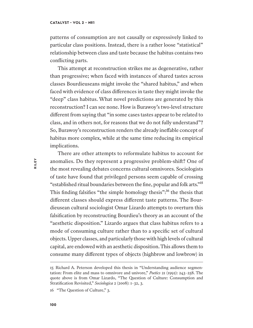patterns of consumption are not causally or expressively linked to particular class positions. Instead, there is a rather loose "statistical" relationship between class and taste because the habitus contains two conflicting parts.

This attempt at reconstruction strikes me as degenerative, rather than progressive; when faced with instances of shared tastes across classes Bourdieuseans might invoke the "shared habitus," and when faced with evidence of class diferences in taste they might invoke the "deep" class habitus. What novel predictions are generated by this reconstruction? I can see none. How is Burawoy's two-level structure diferent from saying that "in some cases tastes appear to be related to class, and in others not, for reasons that we do not fully understand"? So, Burawoy's reconstruction renders the already inefable concept of habitus more complex, while at the same time reducing its empirical implications.

There are other attempts to reformulate habitus to account for anomalies. Do they represent a progressive problem-shif? One of the most revealing debates concerns cultural omnivores. Sociologists of taste have found that privileged persons seem capable of crossing "established ritual boundaries between the fine, popular and folk arts."<sup>15</sup> This finding falsifies "the simple homology thesis": $^{16}$  the thesis that diferent classes should express diferent taste patterns. The Bourdieusean cultural sociologist Omar Lizardo attempts to overturn this falsification by reconstructing Bourdieu's theory as an account of the "aesthetic disposition." Lizardo argues that class habitus refers to a mode of consuming culture rather than to a specific set of cultural objects. Upper classes, and particularly those with high levels of cultural capital, are endowed with an aesthetic disposition. This allows them to consume many diferent types of objects (highbrow and lowbrow) in

<sup>15</sup> Richard A. Peterson developed this thesis in "Understanding audience segmentation: From elite and mass to omnivore and univore," *Poetics* 21 (1992): 243–258. The quote above is from Omar Lizardo, "The Question of Culture: Consumption and Stratification Revisited," *Sociologica* 2 (2008): 1–32, 3.

<sup>16</sup> "The Question of Culture," 3.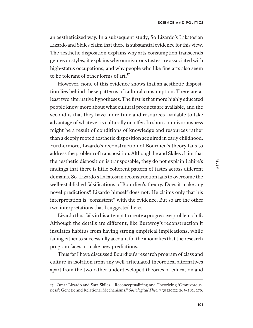an aestheticized way. In a subsequent study, So Lizardo's Lakatosian Lizardo and Skiles claim that there is substantial evidence for this view. The aesthetic disposition explains why arts consumption transcends genres or styles; it explains why omnivorous tastes are associated with high-status occupations, and why people who like fine arts also seem to be tolerant of other forms of  $art<sup>17</sup>$ .

However, none of this evidence shows that an aesthetic disposition lies behind these patterns of cultural consumption. There are at least two alternative hypotheses. The first is that more highly educated people know more about what cultural products are available, and the second is that they have more time and resources available to take advantage of whatever is culturally on offer. In short, omnivorousness might be a result of conditions of knowledge and resources rather than a deeply rooted aesthetic disposition acquired in early childhood. Furthermore, Lizardo's reconstruction of Bourdieu's theory fails to address the problem of transposition. Although he and Skiles claim that the aesthetic disposition is transposable, they do not explain Lahire's findings that there is little coherent pattern of tastes across diferent domains. So, Lizardo's Lakatosian reconstruction fails to overcome the well-established falsifications of Bourdieu's theory. Does it make any novel predictions? Lizardo himself does not. He claims only that his interpretation is "consistent" with the evidence. But so are the other two interpretations that I suggested here.

Lizardo thus fails in his attempt to create a progressive problem-shif. Although the details are diferent, like Burawoy's reconstruction it insulates habitus from having strong empirical implications, while failing either to successfully account for the anomalies that the research program faces or make new predictions.

Thus far I have discussed Bourdieu's research program of class and culture in isolation from any well-articulated theoretical alternatives apart from the two rather underdeveloped theories of education and

<sup>17</sup> Omar Lizardo and Sara Skiles, "Reconceptualizing and Theorizing 'Omnivorousness': Genetic and Relational Mechanisms," *Sociological Theory* 30 (2012): 263–282, 270.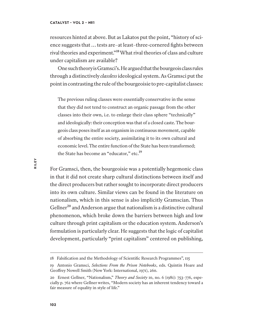resources hinted at above. But as Lakatos put the point, "history of science suggests that … tests are–at least–three-cornered fights between rival theories and experiment."<sup>18</sup> What rival theories of class and culture under capitalism are available?

One such theory is Gramsci's. He argued that the bourgeois class rules through a distinctively *classless* ideological system. As Gramsci put the point in contrasting the rule of the bourgeoisie to pre-capitalist classes:

The previous ruling classes were essentially conservative in the sense that they did not tend to construct an organic passage from the other classes into their own, i.e. to enlarge their class sphere "technically" and ideologically: their conception was that of a closed caste. The bourgeois class poses itself as an organism in continuous movement, capable of absorbing the entire society, assimilating it to its own cultural and economic level. The entire function of the State has been transformed; the State has become an "educator," etc.<sup>19</sup>

For Gramsci, then, the bourgeoisie was a potentially hegemonic class in that it did not create sharp cultural distinctions between itself and the direct producers but rather sought to incorporate direct producers into its own culture. Similar views can be found in the literature on nationalism, which in this sense is also implicitly Gramscian. Thus Gellner<sup>20</sup> and Anderson argue that nationalism is a distinctive cultural phenomenon, which broke down the barriers between high and low culture through print capitalism or the education system. Anderson's formulation is particularly clear. He suggests that the logic of capitalist development, particularly "print capitalism" centered on publishing,

<sup>18</sup> Falsification and the Methodology of Scientific Research Programmes", 115

<sup>19</sup> Antonio Gramsci, *Selections From the Prison Notebooks*, eds. Quintin Hoare and Geofrey Nowell Smith (New York: International, 1971), 260.

<sup>20</sup> Ernest Gellner, "Nationalism," *Theory and Society* 10, no. 6 (1981): 753–776, especially p. 762 where Gellner writes, "Modern society has an inherent tendency toward a fair measure of equality in style of life."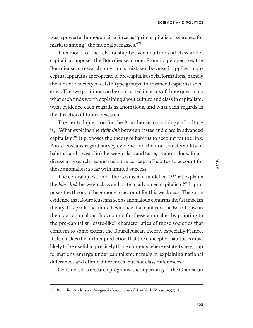was a powerful homogenizing force as "print capitalists" searched for markets among "the monoglot masses."<sup>21</sup>

This model of the relationship between culture and class under capitalism opposes the Bourdieusean one. From its perspective, the Bourdieusean research program is mistaken because it applies a conceptual apparatus appropriate to pre-capitalist social formations, namely the idea of a society of estate-type groups, to advanced capitalist societies. The two positions can be contrasted in terms of three questions: what each finds worth explaining about culture and class in capitalism, what evidence each regards as anomalous, and what each regards as the direction of future research.

The central question for the Bourdieusean sociology of culture is, "What explains the *tight link* between tastes and class in advanced capitalism?" It proposes the theory of habitus to account for the link. Bourdieuseans regard survey evidence on the non-transferability of habitus, and a weak link between class and taste, as anomalous. Bourdieusean research reconstructs the concept of habitus to account for these anomalies: so far with limited success.

The central question of the Gramscian model is, "What explains the *loose link* between class and taste in advanced capitalism?" It proposes the theory of hegemony to account for this weakness. The same evidence that Bourdieuseans see as anomalous confirms the Gramscian theory. It regards the limited evidence that confirms the Bourdieusean theory as anomalous. It accounts for these anomalies by pointing to the pre-capitalist "caste-like" characteristics of those societies that conform to some extent the Bourdieusean theory, especially France. It also makes the further prediction that the concept of habitus is most likely to be useful in precisely those contexts where estate-type group formations emerge under capitalism: namely in explaining national diferences and ethnic diferences, but not class diferences.

Considered as research programs, the superiority of the Gramscian

<sup>21</sup> Benedict Anderson, *Imagined Communities* (New York: Verso, 1991), 38.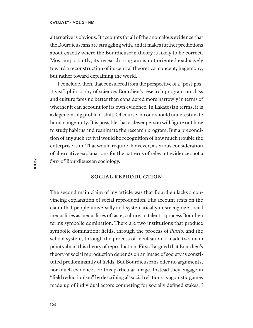alternative is obvious. It accounts for all of the anomalous evidence that the Bourdieuseans are struggling with, and it makes further predictions about exactly where the Bourdieusean theory is likely to be correct. Most importantly, its research program is not oriented exclusively toward a reconstruction of its central theoretical concept, hegemony, but rather toward explaining the world.

I conclude, then, that considered from the perspective of a "post-positivist" philosophy of science, Bourdieu's research program on class and culture fares no better than considered more narrowly in terms of whether it can account for its own evidence. In Lakatosian terms, it is a degenerating problem-shif. Of course, no one should underestimate human ingenuity. It is possible that a clever person will figure out how to study habitus and reanimate the research program. But a precondition of any such revival would be recognition of how much trouble the enterprise is in. That would require, however, a serious consideration of alternative explanations for the patterns of relevant evidence: not a *forte* of Bourdieusean sociology.

### **SOCIAL REPRODUCTION**

The second main claim of my article was that Bourdieu lacks a convincing explanation of social reproduction. His account rests on the claim that people universally and systematically misrecognize social inequalities as inequalities of taste, culture, or talent: a process Bourdieu terms symbolic domination. There are two institutions that produce symbolic domination: fields, through the process of *illusio*, and the school system, through the process of inculcation. I made two main points about this theory of reproduction. First, I argued that Bourdieu's theory of social reproduction depends on an image of society as constituted predominantly of fields. But Bourdieuseans offer no arguments, nor much evidence, for this particular image. Instead they engage in "field reductionism" by describing all social relations as agonistic games made up of individual actors competing for socially defined stakes. I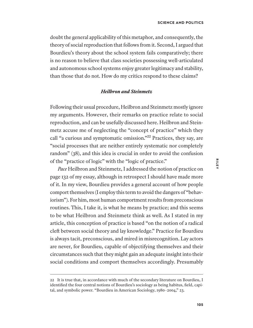doubt the general applicability of this metaphor, and consequently, the theory of social reproduction that follows from it. Second, I argued that Bourdieu's theory about the school system fails comparatively; there is no reason to believe that class societies possessing well-articulated and autonomous school systems enjoy greater legitimacy and stability, than those that do not. How do my critics respond to these claims?

# *Heilbron and Steinmetz*

Following their usual procedure, Heilbron and Steinmetz mostly ignore my arguments. However, their remarks on practice relate to social reproduction, and can be usefully discussed here. Heilbron and Steinmetz accuse me of neglecting the "concept of practice" which they call "a curious and symptomatic omission."<sup>22</sup> Practices, they say, are "social processes that are neither entirely systematic nor completely random" (38), and this idea is crucial in order to avoid the confusion of the "practice of logic" with the "logic of practice."

*Pace* Heilbron and Steinmetz, I addressed the notion of practice on page 132 of my essay, although in retrospect I should have made more of it. In my view, Bourdieu provides a general account of how people comport themselves (I employ this term to avoid the dangers of "behaviorism"). For him, most human comportment results from preconscious routines. This, I take it, is what he means by practice; and this seems to be what Heilbron and Steinmetz think as well. As I stated in my article, this conception of practice is based "on the notion of a radical cleft between social theory and lay knowledge." Practice for Bourdieu is always tacit, preconscious, and mired in misrecognition. Lay actors are never, for Bourdieu, capable of objectifying themselves and their circumstances such that they might gain an adequate insight into their social conditions and comport themselves accordingly. Presumably

<sup>22</sup> It is true that, in accordance with much of the secondary literature on Bourdieu, I identified the four central notions of Bourdieu's sociology as being habitus, field, capital, and symbolic power. "Bourdieu in American Sociology, 1980–2004," 23.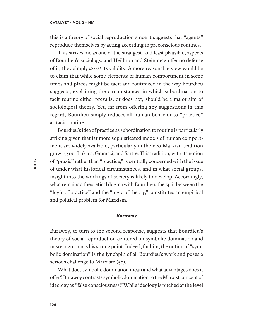this is a theory of social reproduction since it suggests that "agents" reproduce themselves by acting according to preconscious routines.

This strikes me as one of the strangest, and least plausible, aspects of Bourdieu's sociology, and Heilbron and Steinmetz offer no defense of it; they simply *assert* its validity. A more reasonable view would be to claim that while some elements of human comportment in some times and places might be tacit and routinized in the way Bourdieu suggests, explaining the circumstances in which subordination to tacit routine either prevails, or does not, should be a major aim of sociological theory. Yet, far from offering any suggestions in this regard, Bourdieu simply reduces all human behavior to "practice" as tacit routine.

Bourdieu's idea of practice as subordination to routine is particularly striking given that far more sophisticated models of human comportment are widely available, particularly in the neo-Marxian tradition growing out Lukács, Gramsci, and Sartre. This tradition, with its notion of "praxis" rather than "practice," is centrally concerned with the issue of under what historical circumstances, and in what social groups, insight into the workings of society is likely to develop. Accordingly, what remains a theoretical dogma with Bourdieu, the split between the "logic of practice" and the "logic of theory," constitutes an empirical and political problem for Marxism.

#### *Burawoy*

Burawoy, to turn to the second response, suggests that Bourdieu's theory of social reproduction centered on symbolic domination and misrecognition is his strong point. Indeed, for him, the notion of "symbolic domination" is the lynchpin of all Bourdieu's work and poses a serious challenge to Marxism (58).

What does symbolic domination mean and what advantages does it ofer? Burawoy contrasts symbolic domination to the Marxist concept of ideology as "false consciousness." While ideology is pitched at the level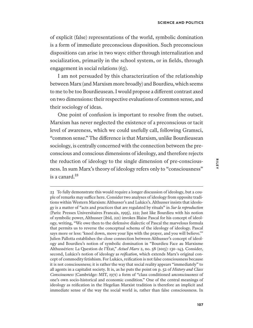of explicit (false) representations of the world, symbolic domination is a form of immediate preconscious disposition. Such preconscious dispositions can arise in two ways: either through internalization and socialization, primarily in the school system, or in fields, through engagement in social relations (63).

I am not persuaded by this characterization of the relationship between Marx (and Marxism more broadly) and Bourdieu, which seems to me to be too Bourdieusean. I would propose a diferent contrast axed on two dimensions: their respective evaluations of common sense, and their sociology of ideas.

One point of confusion is important to resolve from the outset. Marxism has never neglected the existence of a preconscious or tacit level of awareness, which we could usefully call, following Gramsci, "common sense." The diference is that Marxism, unlike Bourdieusean sociology, is centrally concerned with the connection between the preconscious and conscious dimensions of ideology, and therefore rejects the reduction of ideology to the single dimension of pre-consciousness. In sum Marx's theory of ideology refers only to "consciousness" is a canard.<sup>23</sup>

<sup>23</sup> To fully demonstrate this would require a longer discussion of ideology, but a couple of remarks may suffice here. Consider two analyses of ideology from opposite traditions within Western Marxism: Althusser's and Lukács's. Althusser insists that ideology is a matter of "acts and practices that are regulated by rituals" in *Sur la reproduction* (Paris: Presses Universitaires Francais, 1995), 222; Just like Bourdieu with his notion of symbolic power, Althusser (ibid*,* 221) invokes Blaise Pascal for his concept of ideology, writing, "We owe then to the defensive dialectic of Pascal the marvelous formula that permits us to reverse the conceptual schema of the ideology of ideology. Pascal says more or less: 'kneel down, move your lips with the prayer, and you will believe.'" Julien Pallotta establishes the close connection between Althusser's concept of ideology and Bourdieu's notion of symbolic domination in "Bourdieu Face au Marxisme Althussérien: La Question de l'État," *Actuel Marx* 2, no. 58 (2015): 130–143. Consider, second, Lukács's notion of ideology as *reification*, which extends Marx's original concept of commodity fetishism. For Lukács, reification is not false consciousness because it is not consciousness; it is rather the way that social reality appears "immediately" to all agents in a capitalist society. It is, as he puts the point on p. 52 of *History and Class Consciousness* (Cambridge: MIT, 1971) a form of "class conditioned *unconsciousness* of one's own socio-historical and economic condition." One of the central meanings of ideology as reification in the Hegelian Marxist tradition is therefore an implicit and immediate sense of the way the social world is, rather than false consciousness. In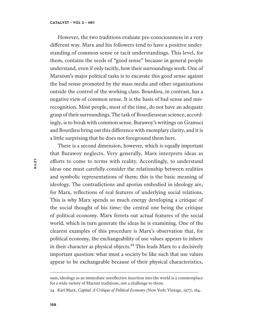However, the two traditions evaluate pre-consciousness in a very diferent way. Marx and his followers tend to have a positive understanding of common sense or tacit understandings. This level, for them, contains the seeds of "good sense" because in general people understand, even if only tacitly, how their surroundings work. One of Marxism's major political tasks is to excavate this good sense against the bad sense promoted by the mass media and other organizations outside the control of the working class. Bourdieu, in contrast, has a negative view of common sense. It is the basis of bad sense and misrecognition. Most people, most of the time, do not have an adequate grasp of their surroundings. The task of Bourdieusean science, accordingly, is to break with common sense. Burawoy's writings on Gramsci and Bourdieu bring out this diference with exemplary clarity, and it is a little surprising that he does not foreground them here.

There is a second dimension, however, which is equally important that Burawoy neglects. Very generally, Marx interprets ideas as eforts to come to terms with reality. Accordingly, to understand ideas one must carefully consider the relationship between realities and symbolic representations of them; this is the basic meaning of ideology. The contradictions and aporias embodied in ideology are, for Marx, reflections of real features of underlying social relations. This is why Marx spends so much energy developing a critique of the social thought of his time: the central one being the critique of political economy. Marx ferrets out actual features of the social world, which in turn generate the ideas he is examining. One of the clearest examples of this procedure is Marx's observation that, for political economy, the exchangeability of use values appears to inhere in their character as physical objects. $24$  This leads Marx to a decisively important question: what must a society be like such that use values appear to be exchangeable because of their physical characteristics,

sum, ideology as an immediate unreflective insertion into the world is a commonplace for a wide variety of Marxist traditions, not a challenge to them.

<sup>24</sup> Karl Marx, *Capital: A Critique of Political Economy* (New York: Vintage, 1977), 164.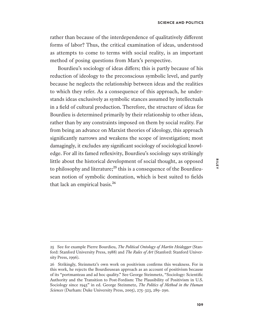rather than because of the interdependence of qualitatively diferent forms of labor? Thus, the critical examination of ideas, understood as attempts to come to terms with social reality, is an important method of posing questions from Marx's perspective.

Bourdieu's sociology of ideas difers; this is partly because of his reduction of ideology to the preconscious symbolic level, and partly because he neglects the relationship between ideas and the realities to which they refer. As a consequence of this approach, he understands ideas exclusively as symbolic stances assumed by intellectuals in a field of cultural production. Therefore, the structure of ideas for Bourdieu is determined primarily by their relationship to other ideas, rather than by any constraints imposed on them by social reality. Far from being an advance on Marxist theories of ideology, this approach significantly narrows and weakens the scope of investigation; most damagingly, it excludes any significant sociology of sociological knowledge. For all its famed reflexivity, Bourdieu's sociology says strikingly little about the historical development of social thought, as opposed to philosophy and literature; $^{25}$  this is a consequence of the Bourdieusean notion of symbolic domination, which is best suited to fields that lack an empirical basis.<sup>26</sup>

<sup>25</sup> See for example Pierre Bourdieu, *The Political Ontology of Martin Heidegger* (Stanford: Stanford University Press, 1988) and *The Rules of Art* (Stanford: Stanford University Press, 1996).

<sup>26</sup> Strikingly, Steinmetz's own work on positivism confirms this weakness. For in this work, he rejects the Bourdieusean approach as an account of positivism because of its "portmanteau and ad hoc quality." See George Steinmetz, "Sociology: Scientific Authority and the Transition to Post-Fordism: The Plausibility of Positivism in U.S. Sociology since 1945" in ed. George Steinmetz, *The Politics of Method in the Human Sciences* (Durham: Duke University Press, 2005), 275–323, 289–290.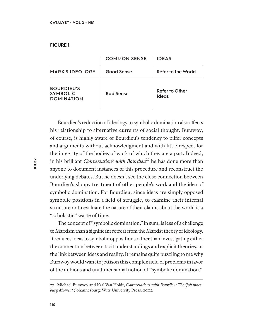### **FIGURE 1.**

|                                                           | <b>COMMON SENSE</b> | <b>IDEAS</b>                   |
|-----------------------------------------------------------|---------------------|--------------------------------|
| <b>MARX'S IDEOLOGY</b>                                    | <b>Good Sense</b>   | Refer to the World             |
| <b>BOURDIEU'S</b><br><b>SYMBOLIC</b><br><b>DOMINATION</b> | <b>Bad Sense</b>    | Refer to Other<br><b>Ideas</b> |

Bourdieu's reduction of ideology to symbolic domination also afects his relationship to alternative currents of social thought. Burawoy, of course, is highly aware of Bourdieu's tendency to pilfer concepts and arguments without acknowledgment and with little respect for the integrity of the bodies of work of which they are a part. Indeed, in his brilliant *Conversations with Bourdieu*<sup>27</sup> he has done more than anyone to document instances of this procedure and reconstruct the underlying debates. But he doesn't see the close connection between Bourdieu's sloppy treatment of other people's work and the idea of symbolic domination. For Bourdieu, since ideas are simply opposed symbolic positions in a field of struggle, to examine their internal structure or to evaluate the nature of their claims about the world is a "scholastic" waste of time.

The concept of "symbolic domination," in sum, is less of a challenge to Marxism than a significant retreat from the Marxist theory of ideology. It reduces ideas to symbolic oppositions rather than investigating either the connection between tacit understandings and explicit theories, or the link between ideas and reality. It remains quite puzzling to me why Burawoy would want to jettison this complex field of problems in favor of the dubious and unidimensional notion of "symbolic domination."

<sup>27</sup> Michael Burawoy and Karl Van Holdt, *Conversations with Bourdieu: The Johannesburg Moment* (Johannesburg: Wits University Press, 2012).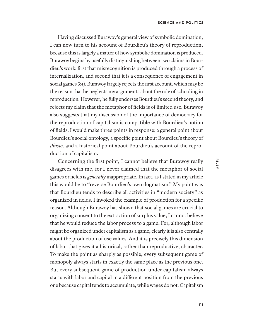Having discussed Burawoy's general view of symbolic domination, I can now turn to his account of Bourdieu's theory of reproduction, because this is largely a matter of how symbolic domination is produced. Burawoy begins by usefully distinguishing between two claims in Bourdieu's work: first that misrecognition is produced through a process of internalization, and second that it is a consequence of engagement in social games (81). Burawoy largely rejects the first account, which may be the reason that he neglects my arguments about the role of schooling in reproduction. However, he fully endorses Bourdieu's second theory, and rejects my claim that the metaphor of fields is of limited use. Burawoy also suggests that my discussion of the importance of democracy for the reproduction of capitalism is compatible with Bourdieu's notion of fields. I would make three points in response: a general point about Bourdieu's social ontology, a specific point about Bourdieu's theory of *illusio*, and a historical point about Bourdieu's account of the reproduction of capitalism.

Concerning the first point, I cannot believe that Burawoy really disagrees with me, for I never claimed that the metaphor of social games or fields is *generally* inappropriate. In fact, as I stated in my article this would be to "reverse Bourdieu's own dogmatism." My point was that Bourdieu tends to describe all activities in "modern society" as organized in fields. I invoked the example of production for a specific reason. Although Burawoy has shown that social games are crucial to organizing consent to the extraction of surplus value, I cannot believe that he would reduce the labor process to a game. For, although labor might be organized under capitalism as a game, clearly it is also centrally about the production of use values. And it is precisely this dimension of labor that gives it a historical, rather than reproductive, character. To make the point as sharply as possible, every subsequent game of monopoly always starts in exactly the same place as the previous one. But every subsequent game of production under capitalism always starts with labor and capital in a diferent position from the previous one because capital tends to accumulate, while wages do not. Capitalism **RILEY**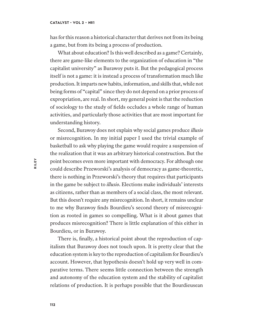has for this reason a historical character that derives not from its being a game, but from its being a process of production.

What about education? Is this well described as a game? Certainly, there are game-like elements to the organization of education in "the capitalist university" as Burawoy puts it. But the pedagogical process itself is not a game: it is instead a process of transformation much like production. It imparts new habits, information, and skills that, while not being forms of "capital" since they do not depend on a prior process of expropriation, are real. In short, my general point is that the reduction of sociology to the study of fields occludes a whole range of human activities, and particularly those activities that are most important for understanding history.

Second, Burawoy does not explain why social games produce *illusio* or misrecognition. In my initial paper I used the trivial example of basketball to ask why playing the game would require a suspension of the realization that it was an arbitrary historical construction. But the point becomes even more important with democracy. For although one could describe Przeworski's analysis of democracy as game-theoretic, there is nothing in Przeworski's theory that requires that participants in the game be subject to *illusio*. Elections make individuals' interests as citizens, rather than as members of a social class, the most relevant. But this doesn't require any misrecognition. In short, it remains unclear to me why Burawoy finds Bourdieu's second theory of misrecognition as rooted in games so compelling. What is it about games that produces misrecognition? There is little explanation of this either in Bourdieu, or in Burawoy.

There is, finally, a historical point about the reproduction of capitalism that Burawoy does not touch upon. It is pretty clear that the education system is key to the reproduction of capitalism for Bourdieu's account. However, that hypothesis doesn't hold up very well in comparative terms. There seems little connection between the strength and autonomy of the education system and the stability of capitalist relations of production. It is perhaps possible that the Bourdieusean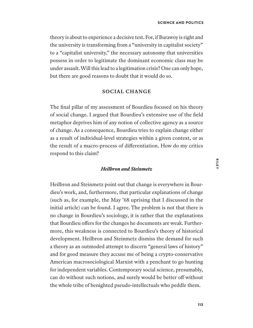theory is about to experience a decisive test. For, if Burawoy is right and the university is transforming from a "university in capitalist society" to a "capitalist university," the necessary autonomy that universities possess in order to legitimate the dominant economic class may be under assault. Will this lead to a legitimation crisis? One can only hope, but there are good reasons to doubt that it would do so.

# **SOCIAL CHANGE**

The final pillar of my assessment of Bourdieu focused on his theory of social change. I argued that Bourdieu's extensive use of the field metaphor deprives him of any notion of collective agency as a source of change. As a consequence, Bourdieu tries to explain change either as a result of individual-level strategies within a given context, or as the result of a macro-process of diferentiation. How do my critics respond to this claim?

# *Heilbron and Steinmetz*

Heilbron and Steinmetz point out that change is everywhere in Bourdieu's work, and, furthermore, that particular explanations of change (such as, for example, the May '68 uprising that I discussed in the initial article) can be found. I agree. The problem is not that there is no change in Bourdieu's sociology, it is rather that the explanations that Bourdieu offers for the changes he documents are weak. Furthermore, this weakness is connected to Bourdieu's theory of historical development. Heilbron and Steinmetz dismiss the demand for such a theory as an outmoded attempt to discern "general laws of history" and for good measure they accuse me of being a crypto-conservative American macrosociological Marxist with a penchant to go hunting for independent variables. Contemporary social science, presumably, can do without such notions, and surely would be better of without the whole tribe of benighted pseudo-intellectuals who peddle them.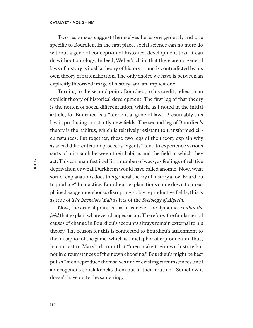Two responses suggest themselves here: one general, and one specific to Bourdieu. In the first place, social science can no more do without a general conception of historical development than it can do without ontology. Indeed, Weber's claim that there are no general laws of history is itself a theory of history — and is contradicted by his own theory of rationalization. The only choice we have is between an explicitly theorized image of history, and an implicit one.

Turning to the second point, Bourdieu, to his credit, relies on an explicit theory of historical development. The first leg of that theory is the notion of social diferentiation, which, as I noted in the initial article, for Bourdieu is a "tendential general law." Presumably this law is producing constantly new fields. The second leg of Bourdieu's theory is the habitus, which is relatively resistant to transformed circumstances. Put together, these two legs of the theory explain why as social diferentiation proceeds "agents" tend to experience various sorts of mismatch between their habitus and the field in which they act. This can manifest itself in a number of ways, as feelings of relative deprivation or what Durkheim would have called anomie. Now, what sort of explanations does this general theory of history allow Bourdieu to produce? In practice, Bourdieu's explanations come down to unexplained exogenous shocks disrupting stably reproductive fields; this is as true of *The Bachelors' Ball* as it is of the *Sociology of Algeria*.

Now, the crucial point is that it is never the dynamics *within the field* that explain whatever changes occur. Therefore, the fundamental causes of change in Bourdieu's accounts always remain external to his theory. The reason for this is connected to Bourdieu's attachment to the metaphor of the game, which is a metaphor of reproduction; thus, in contrast to Marx's dictum that "men make their own history but not in circumstances of their own choosing," Bourdieu's might be best put as "men reproduce themselves under existing circumstances until an exogenous shock knocks them out of their routine." Somehow it doesn't have quite the same ring.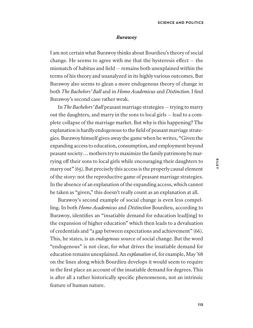### *Burawoy*

I am not certain what Burawoy thinks about Bourdieu's theory of social change. He seems to agree with me that the hysteresis efect — the mismatch of habitus and field — remains both unexplained within the terms of his theory and unanalyzed in its highly various outcomes. But Burawoy also seems to glean a more endogenous theory of change in both *The Bachelors' Ball* and in *Homo Academicus* and *Distinction*. I find Burawoy's second case rather weak.

In *The Bachelors' Ball* peasant marriage strategies— trying to marry out the daughters, and marry in the sons to local girls — lead to a complete collapse of the marriage market. But why is this happening? The explanation is hardly endogenous to the field of peasant marriage strategies. Burawoy himself gives away the game when he writes, "Given the expanding access to education, consumption, and employment beyond peasant society … mothers try to maximize the family patrimony by marrying off their sons to local girls while encouraging their daughters to marry out" (65). But precisely this access is the properly causal element of the story: not the reproductive game of peasant marriage strategies. In the absence of an explanation of the expanding access, which cannot be taken as "given," this doesn't really count as an explanation at all.

Burawoy's second example of social change is even less compelling. In both *Homo Academicus* and *Distinction* Bourdieu, according to Burawoy, identifies an "insatiable demand for education lead[ing] to the expansion of higher education" which then leads to a devaluation of credentials and "a gap between expectations and achievement" (66). This, he states, is an *endogenous* source of social change. But the word "endogenous" is not clear, for what drives the insatiable demand for education remains unexplained. An *explanation* of, for example, May '68 on the lines along which Bourdieu develops it would seem to require in the first place an account of the insatiable demand for degrees. This is after all a rather historically specific phenomenon, not an intrinsic feature of human nature.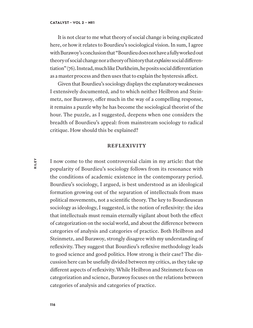It is not clear to me what theory of social change is being explicated here, or how it relates to Bourdieu's sociological vision. In sum, I agree with Burawoy's conclusion that "Bourdieu does not have a fully worked out theory of social change nor a theory of history that *explains* social diferentiation" (76). Instead, much like Durkheim, he posits social diferentiation as a master process and then uses that to explain the hysteresis afect.

Given that Bourdieu's sociology displays the explanatory weaknesses I extensively documented, and to which neither Heilbron and Steinmetz, nor Burawoy, offer much in the way of a compelling response, it remains a puzzle why he has become the sociological theorist of the hour. The puzzle, as I suggested, deepens when one considers the breadth of Bourdieu's appeal: from mainstream sociology to radical critique. How should this be explained?

## **REFLEXIVITY**

I now come to the most controversial claim in my article: that the popularity of Bourdieu's sociology follows from its resonance with the conditions of academic existence in the contemporary period. Bourdieu's sociology, I argued, is best understood as an ideological formation growing out of the separation of intellectuals from mass political movements, not a scientific theory. The key to Bourdieusean sociology as ideology, I suggested, is the notion of reflexivity: the idea that intellectuals must remain eternally vigilant about both the efect of categorization on the social world, and about the diference between categories of analysis and categories of practice. Both Heilbron and Steinmetz, and Burawoy, strongly disagree with my understanding of reflexivity. They suggest that Bourdieu's reflexive methodology leads to good science and good politics. How strong is their case? The discussion here can be usefully divided between my critics, as they take up diferent aspects of reflexivity. While Heilbron and Steinmetz focus on categorization and science, Burawoy focuses on the relations between categories of analysis and categories of practice.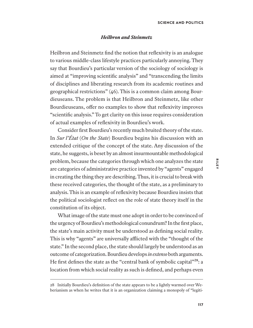## *Heilbron and Steinmetz*

Heilbron and Steinmetz find the notion that reflexivity is an analogue to various middle-class lifestyle practices particularly annoying. They say that Bourdieu's particular version of the sociology of sociology is aimed at "improving scientific analysis" and "transcending the limits of disciplines and liberating research from its academic routines and geographical restrictions" (46). This is a common claim among Bourdieuseans. The problem is that Heilbron and Steinmetz, like other Bourdieuseans, offer no examples to show that reflexivity improves "scientific analysis." To get clarity on this issue requires consideration of actual examples of reflexivity in Bourdieu's work.

Consider first Bourdieu's recently much bruited theory of the state. In *Sur l'État* (*On the State*) Bourdieu begins his discussion with an extended critique of the concept of the state. Any discussion of the state, he suggests, is beset by an almost insurmountable methodological problem, because the categories through which one analyzes the state are categories of administrative practice invented by "agents" engaged in creating the thing they are describing. Thus, it is crucial to break with these received categories, the thought of the state, as a preliminary to analysis. This is an example of reflexivity because Bourdieu insists that the political sociologist reflect on the role of state theory itself in the constitution of its object.

What image of the state must one adopt in order to be convinced of the urgency of Bourdieu's methodological conundrum? In the first place, the state's main activity must be understood as defining social reality. This is why "agents" are universally afflicted with the "thought of the state." In the second place, the state should largely be understood as an outcome of categorization. Bourdieu develops *in extenso* both arguments. He first defines the state as the "central bank of symbolic capital"<sup>28</sup>: a location from which social reality as such is defined, and perhaps even

<sup>28</sup> Initially Bourdieu's definition of the state appears to be a lightly warmed over Weberianism as when he writes that it is an organization claiming a monopoly of "legiti-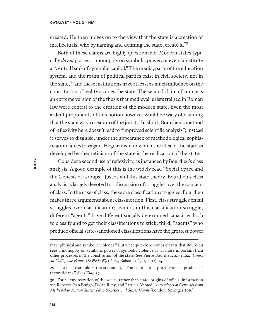created. He then moves on to the view that the state is a creation of intellectuals, who by naming and defining the state, create it.<sup>29</sup>

Both of these claims are highly questionable. Modern states typically *do not* possess a monopoly on symbolic power, or even constitute a "central bank of symbolic capital." The media, parts of the education system, and the realm of political parties exist in civil society, not in the state,<sup>30</sup> and these institutions have at least as much influence on the constitution of reality as does the state. The second claim of course is an extreme version of the thesis that medieval jurists trained in Roman law were central to the creation of the modern state. Even the most ardent proponents of this notion however would be wary of claiming that the state was a creation of the jurists. In short, Bourdieu's method of reflexivity here doesn't lead to "improved scientific analysis"; instead it serves to disguise, under the appearance of methodological sophistication, an extravagant Hegelianism in which the idea of the state as developed by theoreticians of the state is the realization of the state.

Consider a second use of reflexivity, as instanced by Bourdieu's class analysis. A good example of this is the widely read "Social Space and the Genesis of Groups." Just as with his state theory, Bourdieu's class analysis is largely devoted to a discussion of struggles over the concept of class. In the case of class, these are classification struggles. Bourdieu makes three arguments about classification. First, class struggles entail struggles over classification; second, in this classification struggle, diferent "agents" have diferent socially determined capacities both to classify and to get their classifications to stick; third, "agents" who produce official state-sanctioned classifications have the greatest power

mate physical and symbolic violence." But what quickly becomes clear is that Bourdieu sees a monopoly on symbolic power or symbolic violence as far more important than other processes in the constitution of the state. See Pierre Bourdieu, *Sur l'*É*tat: Cours au Coll*è*ge de France (1898-1992)* (Paris, Raisons d'agir, 2012), 14.

<sup>29</sup> The best example is the statement, "The state is to a great extent a product of theoreticians," *Sur l'*É*tat,* 57.

<sup>30</sup> For a demonstration of the social, rather than state, origins of official information see Rebecca Jean Emigh, Dylan Riley, and Patricia Ahmed, *Antecedents of Censuses from Medieval to Nation States: How Societies and States Count* (London: Springer 2016).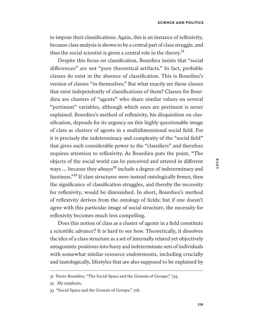to impose their classifications. Again, this is an instance of reflexivity, because class analysis is shown to be a central part of class struggle, and thus the social scientist is given a central role in the theory.<sup>31</sup>

Despite this focus on classification, Bourdieu insists that "social diferences" are not "pure theoretical artifacts." In fact, probable classes do exist in the absence of classification. This is Bourdieu's version of classes "in themselves." But what exactly are these classes that exist independently of classifications of them? Classes for Bourdieu are clusters of "agents" who share similar values on several "pertinent" variables, although which ones are pertinent is never explained. Bourdieu's method of reflexivity, his disquisition on classification, depends for its urgency on this highly questionable image of class as clusters of agents in a multidimensional social field. For it is precisely the indeterminacy and complexity of the "social field" that gives such considerable power to the "classifiers" and therefore requires attention to reflexivity. As Bourdieu puts the point, "The objects of the social world can be perceived and uttered in diferent ways ... because they *always*<sup>32</sup> include a degree of indeterminacy and fuzziness."<sup>33</sup> If class structures were instead ontologically firmer, then the significance of classification struggles, and thereby the necessity for reflexivity, would be diminished. In short, Bourdieu's method of reflexivity derives from the ontology of fields; but if one doesn't agree with this particular image of social structure, the necessity for reflexivity becomes much less compelling.

Does this notion of class as a cluster of agents in a field constitute a scientific advance? It is hard to see how. Theoretically, it dissolves the idea of a class structure as a set of internally related yet objectively antagonistic positions into fuzzy and indeterminate sets of individuals with somewhat similar resource endowments, including crucially and tautologically, lifestyles that are also supposed to be explained by

<sup>31</sup> Pierre Bourdieu, "The Social Space and the Genesis of Groups," 734.

<sup>32</sup> My emphasis.

<sup>33</sup> "Social Space and the Genesis of Groups," 728.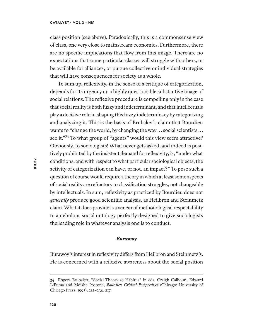class position (see above). Paradoxically, this is a commonsense view of class, one very close to mainstream economics. Furthermore, there are no specific implications that flow from this image. There are no expectations that some particular classes will struggle with others, or be available for alliances, or pursue collective or individual strategies that will have consequences for society as a whole.

To sum up, reflexivity, in the sense of a critique of categorization, depends for its urgency on a highly questionable substantive image of social relations. The reflexive procedure is compelling only in the case that social reality is both fuzzy and indeterminant, and that intellectuals play a decisive role in shaping this fuzzy indeterminacy by categorizing and analyzing it. This is the basis of Brubaker's claim that Bourdieu wants to "change the world, by changing the way ... social scientists ... see it."<sup>34</sup> To what group of "agents" would this view seem attractive? Obviously, to sociologists! What never gets asked, and indeed is positively prohibited by the insistent demand for reflexivity, is, "under what conditions, and with respect to what particular sociological objects, the activity of categorization can have, or not, an impact?" To pose such a question of course would require a theory in which at least some aspects of social reality are refractory to classification struggles, not changeable by intellectuals. In sum, reflexivity as practiced by Bourdieu does not *generally* produce good scientific analysis, as Heilbron and Steinmetz claim. What it does provide is a veneer of methodological respectability to a nebulous social ontology perfectly designed to give sociologists the leading role in whatever analysis one is to conduct.

### *Burawoy*

Burawoy's interest in reflexivity difers from Heilbron and Steinmetz's. He is concerned with a reflexive awareness about the social position

<sup>34</sup> Rogers Brubaker, "Social Theory as Habitus" in eds. Craigh Calhoun, Edward LiPuma and Moishe Postone, *Bourdieu Critical Perspectives* (Chicago: University of Chicago Press, 1993), 212–234, 217.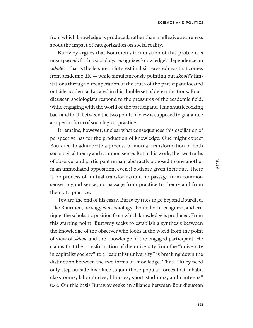from which knowledge is produced, rather than a reflexive awareness about the impact of categorization on social reality.

Burawoy argues that Bourdieu's formulation of this problem is unsurpassed, for his sociology recognizes knowledge's dependence on *skholé* — that is the leisure or interest in disinterestedness that comes from academic life — while simultaneously pointing out *skholé's* limitations through a recuperation of the truth of the participant located outside academia. Located in this double set of determinations, Bourdieusean sociologists respond to the pressures of the academic field, while engaging with the world of the participant. This shuttlecocking back and forth between the two points of view is supposed to guarantee a superior form of sociological practice.

It remains, however, unclear what consequences this oscillation of perspective has for the production of knowledge. One might expect Bourdieu to adumbrate a process of mutual transformation of both sociological theory and common sense. But in his work, the two truths of observer and participant remain abstractly opposed to one another in an unmediated opposition, even if both are given their due. There is no process of mutual transformation, no passage from common sense to good sense, no passage from practice to theory and from theory to practice.

Toward the end of his essay, Burawoy tries to go beyond Bourdieu. Like Bourdieu, he suggests sociology should both recognize, and critique, the scholastic position from which knowledge is produced. From this starting point, Burawoy seeks to establish a synthesis between the knowledge of the observer who looks at the world from the point of view of *skholé* and the knowledge of the engaged participant. He claims that the transformation of the university from the "university in capitalist society" to a "capitalist university" is breaking down the distinction between the two forms of knowledge. Thus, "Riley need only step outside his office to join those popular forces that inhabit classrooms, laboratories, libraries, sport stadiums, and canteens" (20). On this basis Burawoy seeks an alliance between Bourdieusean **RILEY**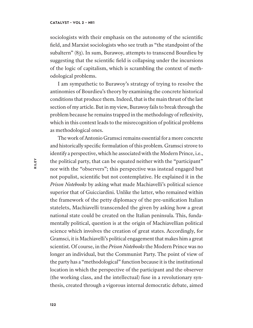sociologists with their emphasis on the autonomy of the scientific field, and Marxist sociologists who see truth as "the standpoint of the subaltern" (83). In sum, Burawoy, attempts to transcend Bourdieu by suggesting that the scientific field is collapsing under the incursions of the logic of capitalism, which is scrambling the context of methodological problems.

I am sympathetic to Burawoy's strategy of trying to resolve the antinomies of Bourdieu's theory by examining the concrete historical conditions that produce them. Indeed, that is the main thrust of the last section of my article. But in my view, Burawoy fails to break through the problem because he remains trapped in the methodology of reflexivity, which in this context leads to the misrecognition of political problems as methodological ones.

The work of Antonio Gramsci remains essential for a more concrete and historically specific formulation of this problem. Gramsci strove to identify a perspective, which he associated with the Modern Prince, i.e., the political party, that can be equated neither with the "participant" nor with the "observers"; this perspective was instead engaged but not populist, scientific but not contemplative. He explained it in the *Prison Notebooks* by asking what made Machiavelli's political science superior that of Guicciardini. Unlike the latter, who remained within the framework of the petty diplomacy of the pre-unification Italian statelets, Machiavelli transcended the given by asking how a great national state could be created on the Italian peninsula. This, fundamentally political, question is at the origin of Machiavellian political science which involves the creation of great states. Accordingly, for Gramsci, it is Machiavelli's political engagement that makes him a great scientist. Of course, in the *Prison Notebooks* the Modern Prince was no longer an individual, but the Communist Party. The point of view of the party has a "methodological" function because it is the institutional location in which the perspective of the participant and the observer (the working class, and the intellectual) fuse in a revolutionary synthesis, created through a vigorous internal democratic debate, aimed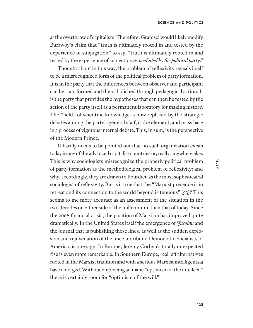at the overthrow of capitalism. Therefore, Gramsci would likely modify Burawoy's claim that "truth is ultimately rooted in and tested by the experience of subjugation" to say, "truth is ultimately rooted in and tested by the experience of subjection *as mediated by the political party*."

Thought about in this way, the problem of reflexivity reveals itself to be a misrecognized form of the political problem of party formation. It is in the party that the diferences between observer and participant can be transformed and then abolished through pedagogical action. It is the party that provides the hypotheses that can then be tested by the action of the party itself as a permanent laboratory for making history. The "field" of scientific knowledge is now replaced by the strategic debates among the party's general staf, cadre element, and mass base in a process of vigorous internal debate. This, in sum, is the perspective of the Modern Prince.

It hardly needs to be pointed out that no such organization exists today in any of the advanced capitalist countries or, really, anywhere else. This is why sociologists misrecognize the properly political problem of party formation as the methodological problem of reflexivity; and why, accordingly, they are drawn to Bourdieu as the most sophisticated sociologist of reflexivity. But is it true that the "Marxist presence is in retreat and its connection to the world beyond is tenuous" (53)? This seems to me more accurate as an assessment of the situation in the two decades on either side of the millennium, than that of today. Since the 2008 financial crisis, the position of Marxism has improved quite dramatically. In the United States itself the emergence of *Jacobin* and the journal that is publishing these lines, as well as the sudden explosion and rejuvenation of the once moribund Democratic Socialists of America, is one sign. In Europe, Jeremy Corbyn's totally unexpected rise is even more remarkable. In Southern Europe, real left alternatives rooted in the Marxist tradition and with a serious Marxist intelligentsia have emerged. Without embracing an inane "optimism of the intellect," there is certainly room for "optimism of the will."

**RILEY**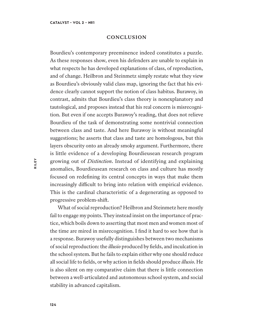## **CONCLUSION**

Bourdieu's contemporary preeminence indeed constitutes a puzzle. As these responses show, even his defenders are unable to explain in what respects he has developed explanations of class, of reproduction, and of change. Heilbron and Steinmetz simply restate what they view as Bourdieu's obviously valid class map, ignoring the fact that his evidence clearly cannot support the notion of class habitus. Burawoy, in contrast, admits that Bourdieu's class theory is nonexplanatory and tautological, and proposes instead that his real concern is misrecognition. But even if one accepts Burawoy's reading, that does not relieve Bourdieu of the task of demonstrating some nontrivial connection between class and taste. And here Burawoy is without meaningful suggestions; he asserts that class and taste are homologous, but this layers obscurity onto an already smoky argument. Furthermore, there is little evidence of a developing Bourdieusean research program growing out of *Distinction*. Instead of identifying and explaining anomalies, Bourdieusean research on class and culture has mostly focused on redefining its central concepts in ways that make them increasingly difficult to bring into relation with empirical evidence. This is the cardinal characteristic of a degenerating as opposed to progressive problem-shif.

What of social reproduction? Heilbron and Steinmetz here mostly fail to engage my points. They instead insist on the importance of practice, which boils down to asserting that most men and women most of the time are mired in misrecognition. I find it hard to see how that is a response. Burawoy usefully distinguishes between two mechanisms of social reproduction: the *illusio* produced by fields, and inculcation in the school system. But he fails to explain either why one should reduce all social life to fields, or why action in fields should produce *illusio*. He is also silent on my comparative claim that there is little connection between a well-articulated and autonomous school system, and social stability in advanced capitalism.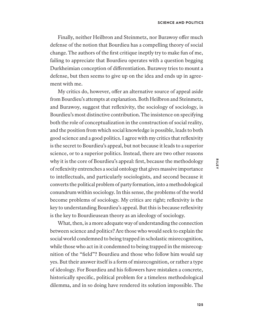Finally, neither Heilbron and Steinmetz, nor Burawoy ofer much defense of the notion that Bourdieu has a compelling theory of social change. The authors of the first critique ineptly try to make fun of me, failing to appreciate that Bourdieu operates with a question begging Durkheimian conception of diferentiation. Burawoy tries to mount a defense, but then seems to give up on the idea and ends up in agreement with me.

My critics do, however, offer an alternative source of appeal aside from Bourdieu's attempts at explanation. Both Heilbron and Steinmetz, and Burawoy, suggest that reflexivity, the sociology of sociology, is Bourdieu's most distinctive contribution. The insistence on specifying both the role of conceptualization in the construction of social reality, and the position from which social knowledge is possible, leads to both good science and a good politics. I agree with my critics that reflexivity is the secret to Bourdieu's appeal, but not because it leads to a superior science, or to a superior politics. Instead, there are two other reasons why it is the core of Bourdieu's appeal: first, because the methodology of reflexivity entrenches a social ontology that gives massive importance to intellectuals, and particularly sociologists, and second because it converts the political problem of party formation, into a methodological conundrum within sociology. In this sense, the problems of the world become problems of sociology. My critics are right; reflexivity is the key to understanding Bourdieu's appeal. But this is because reflexivity is the key to Bourdieusean theory as an ideology of sociology.

What, then, is a more adequate way of understanding the connection between science and politics? Are those who would seek to explain the social world condemned to being trapped in scholastic misrecognition, while those who act in it condemned to being trapped in the misrecognition of the "field"? Bourdieu and those who follow him would say yes. But their answer itself is a form of misrecognition, or rather a type of ideology. For Bourdieu and his followers have mistaken a concrete, historically specific, political problem for a timeless methodological dilemma, and in so doing have rendered its solution impossible. The

**RILEY**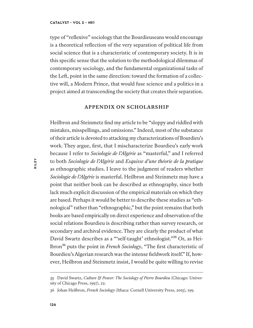type of "reflexive" sociology that the Bourdieuseans would encourage is a theoretical reflection of the very separation of political life from social science that is a characteristic of contemporary society. It is in this specific sense that the solution to the methodological dilemmas of contemporary sociology, and the fundamental organizational tasks of the Lef, point in the same direction: toward the formation of a collective will, a Modern Prince, that would fuse science and a politics in a project aimed at transcending the society that creates their separation.

## **APPENDIX ON SCHOLARSHIP**

Heilbron and Steinmetz find my article to be "sloppy and riddled with mistakes, misspellings, and omissions." Indeed, most of the substance of their article is devoted to attacking my characterizations of Bourdieu's work. They argue, first, that I mischaracterize Bourdieu's early work because I refer to *Sociologie de l'Algérie* as "masterful," and I referred to both *Sociologie de l'Algérie* and *Esquisse d'une théorie de la pratique*  as ethnographic studies. I leave to the judgment of readers whether *Sociologie de l'Algérie* is masterful. Heilbron and Steinmetz may have a point that neither book can be described as ethnography, since both lack much explicit discussion of the empirical materials on which they are based. Perhaps it would be better to describe these studies as "ethnological" rather than "ethnographic," but the point remains that both books are based empirically on direct experience and observation of the social relations Bourdieu is describing rather than survey research, or secondary and archival evidence. They are clearly the product of what David Swartz describes as a "'self-taught' ethnologist."<sup>35</sup> Or, as Heilbron³⁶ puts the point in *French Sociology*, "The first characteristic of Bourdieu's Algerian research was the intense fieldwork itself." If, however, Heilbron and Steinmetz insist, I would be quite willing to revise

<sup>35</sup> David Swartz, *Culture & Power: The Sociology of Pierre Bourdieu* (Chicago: University of Chicago Press, 1997), 22.

<sup>36</sup> Johan Heilbron, *French Sociology* (Ithaca: Cornell University Press, 2015), 199.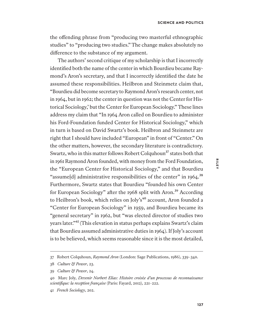the ofending phrase from "producing two masterful ethnographic studies" to "producing two studies." The change makes absolutely no diference to the substance of my argument.

The authors' second critique of my scholarship is that I incorrectly identified both the name of the center in which Bourdieu became Raymond's Aron's secretary, and that I incorrectly identified the date he assumed these responsibilities. Heilbron and Steinmetz claim that, "Bourdieu did become secretary to Raymond Aron's research center, not in 1964, but in 1962; the center in question was not the Center for Historical Sociology,' but the Center for European Sociology." These lines address my claim that "In 1964 Aron called on Bourdieu to administer his Ford-Foundation funded Center for Historical Sociology," which in turn is based on David Swartz's book. Heilbron and Steinmetz are right that I should have included "European" in front of "Center." On the other matters, however, the secondary literature is contradictory. Swartz, who in this matter follows Robert Colquhoun<sup>37</sup> states both that in 1961 Raymond Aron founded, with money from the Ford Foundation, the "European Center for Historical Sociology," and that Bourdieu "assume[d] administrative responsibilities of the center" in  $1964$ .<sup>38</sup> Furthermore, Swartz states that Bourdieu "founded his own Center for European Sociology" after the 1968 split with Aron.<sup>39</sup> According to Heilbron's book, which relies on Joly's<sup>40</sup> account, Aron founded a "Center for European Sociology" in 1959, and Bourdieu became its "general secretary" in 1962, but "was elected director of studies two years later."<sup>41</sup> (This elevation in status perhaps explains Swartz's claim that Bourdieu assumed administrative duties in 1964). If Joly's account is to be believed, which seems reasonable since it is the most detailed,

<sup>37</sup> Robert Colquhoun, *Raymond Aron* (London: Sage Publications, 1986), 339–340.

<sup>38</sup> *Culture & Power*, 23.

<sup>39</sup> *Culture & Power*, 24.

<sup>40</sup> Marc Joly, *Devenir Norbert Elias: Histoire crois*é*e d'un processus de reconnaissance scientifique: la reception fran*ç*aise* (Paris: Fayard, 2012), 221–222.

<sup>41</sup> *French Sociology*, 202.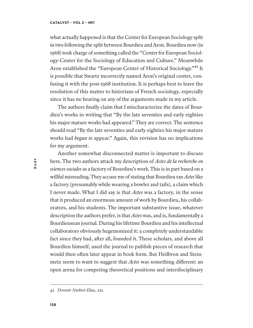what actually happened is that the Center for European Sociology split in two following the split between Bourdieu and Aron. Bourdieu now (in 1968) took charge of something called the "Center for European Sociology-Center for the Sociology of Education and Culture." Meanwhile Aron established the "European Center of Historical Sociology."<sup>42</sup> It is possible that Swartz incorrectly named Aron's original center, confusing it with the post-1968 institution. It is perhaps best to leave the resolution of this matter to historians of French sociology, especially since it has no bearing on any of the arguments made in my article.

The authors finally claim that I mischaracterize the dates of Bourdieu's works in writing that "By the late seventies and early eighties his major mature works had appeared." They are correct. The sentence should read "By the late seventies and early eighties his major mature works had *begun to* appear." Again, this revision has no implications for my argument.

Another somewhat disconnected matter is important to discuss here. The two authors attack my description of *Actes de la recherche en sciences sociales* as a factory of Bourdieu's work. This is in part based on a willful misreading. They accuse me of stating that Bourdieu ran *Actes* like a factory (presumably while wearing a bowler and tails), a claim which I never made. What I did say is that *Actes* was a factory, in the sense that it produced an enormous amount of work by Bourdieu, his collaborators, and his students. The important substantive issue, whatever description the authors prefer, is that *Actes* was, and is, fundamentally a Bourdieusean journal. During his lifetime Bourdieu and his intellectual collaborators obviously hegemonized it: a completely understandable fact since they had, afer all, founded it. These scholars, and above all Bourdieu himself, used the journal to publish pieces of research that would then often later appear in book form. But Heilbron and Steinmetz seem to want to suggest that *Actes* was something diferent: an open arena for competing theoretical positions and interdisciplinary

<sup>42</sup> *Devenir Norbert Elias*, 221.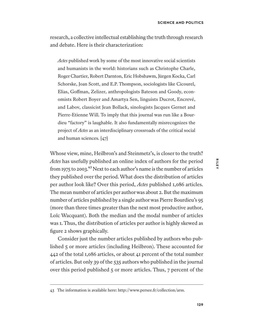research, a collective intellectual establishing the truth through research and debate. Here is their characterization:

*Actes* published work by some of the most innovative social scientists and humanists in the world: historians such as Christophe Charle, Roger Chartier, Robert Darnton, Eric Hobsbawm, Jūrgen Kocka, Carl Schorske, Joan Scott, and E.P. Thompson, sociologists like Cicourel, Elias, Gofman, Zelizer, anthropologists Bateson and Goody, economists Robert Boyer and Amartya Sen, linguists Ducrot, Encrevé, and Labov, classicist Jean Bollack, sinologists Jacques Gernet and Pierre-Etienne Will. To imply that this journal was run like a Bourdieu "factory" is laughable. It also fundamentally misrecognizes the project of *Actes* as an interdisciplinary crossroads of the critical social and human sciences. [47]

Whose view, mine, Heilbron's and Steinmetz's, is closer to the truth? *Actes* has usefully published an online index of authors for the period from 1975 to 2003. $^{43}$  Next to each author's name is the number of articles they published over the period. What does the distribution of articles per author look like? Over this period, *Actes* published 1,086 articles. The mean number of articles per author was about 2. But the maximum number of articles published by a single author was Pierre Bourdieu's 95 (more than three times greater than the next most productive author, Loïc Wacquant). Both the median and the modal number of articles was 1. Thus, the distribution of articles per author is highly skewed as figure 2 shows graphically.

Consider just the number articles published by authors who published 5 or more articles (including Heilbron). These accounted for 442 of the total 1,086 articles, or about 41 percent of the total number of articles. But only 39 of the 535 authors who published in the journal over this period published 5 or more articles. Thus, 7 percent of the

<sup>43</sup> The information is available here: http://www.persee.fr/collection/arss.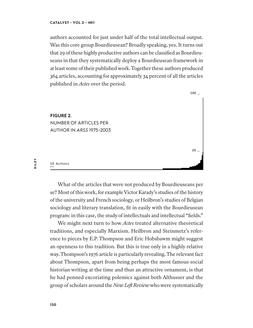authors accounted for just under half of the total intellectual output. Was this core group Bourdieusean? Broadly speaking, yes. It turns out that 29 of these highly productive authors can be classified as Bourdieuseans in that they systematically deploy a Bourdieusean framework in at least some of their published work. Together these authors produced 364 articles, accounting for approximately 34 percent of all the articles published in *Actes* over the period.



What of the articles that were not produced by Bourdieuseans per se? Most of this work, for example Victor Karady's studies of the history of the university and French sociology, or Heilbron's studies of Belgian sociology and literary translation, fit in easily with the Bourdieusean program: in this case, the study of intellectuals and intellectual "fields."

We might next turn to how *Actes* treated alternative theoretical traditions, and especially Marxism. Heilbron and Steinmetz's reference to pieces by E.P. Thompson and Eric Hobsbawm might suggest an openness to this tradition. But this is true only in a highly relative way. Thompson's 1976 article is particularly revealing. The relevant fact about Thompson, apart from being perhaps the most famous social historian writing at the time and thus an attractive ornament, is that he had penned excoriating polemics against both Althusser and the group of scholars around the *New Lef Review* who were systematically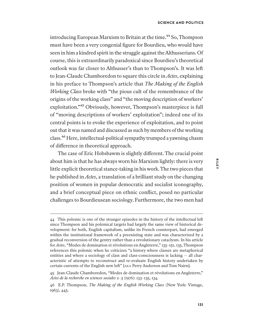introducing European Marxism to Britain at the time.<sup>44</sup> So, Thompson must have been a very congenial figure for Bourdieu, who would have seen in him a kindred spirit in the struggle against the Althusserians. Of course, this is extraordinarily paradoxical since Bourdieu's theoretical outlook was far closer to Althusser's than to Thompson's. It was lef to Jean-Claude Chamboredon to square this circle in *Actes*, explaining in his preface to Thompson's article that *The Making of the English Working Class* broke with "the pious cult of the remembrance of the origins of the working class" and "the moving description of workers' exploitation."<sup>45</sup> Obviously, however, Thompson's masterpiece is full of "moving descriptions of workers' exploitation"; indeed one of its central points is to evoke the experience of exploitation, and to point out that it was named and discussed as such by members of the working class.<sup>46</sup> Here, intellectual-political sympathy trumped a yawning chasm of diference in theoretical approach.

The case of Eric Hobsbawm is slightly diferent. The crucial point about him is that he has always worn his Marxism lightly: there is very little explicit theoretical stance-taking in his work. The two pieces that he published in *Actes*, a translation of a brilliant study on the changing position of women in popular democratic and socialist iconography, and a brief conceptual piece on ethnic conflict, posed no particular challenges to Bourdieusean sociology. Furthermore, the two men had

<sup>44</sup> This polemic is one of the stranger episodes in the history of the intellectual lef since Thompson and his polemical targets had largely the same view of historical development: for both, English capitalism, unlike its French counterpart, had emerged within the institutional framework of a preexisting state and was characterized by a gradual reconversion of the gentry rather than a revolutionary cataclysm. In his article for *Actes*, "Modes de domination et révolutions en Angleterre," 135–151, 135, Thompson references this polemic when he criticizes "a history where classes are metaphorical entities and where a sociology of class and class-consciousness is lacking — all characteristic of attempts to reconstruct and re-evaluate English history undertaken by certain currents of the English new lef" [AKA Perry Anderson and Tom Nairn].

<sup>45</sup> Jean-Claude Chamboredon, "Modes de domination et révolutions en Angleterre," *Actes de la recherche en sciences sociales* 2–3 (1976): 133–135, 134.

<sup>46</sup> E.P. Thompson, *The Making of the English Working Class* (New York: Vintage, 1963), 445.